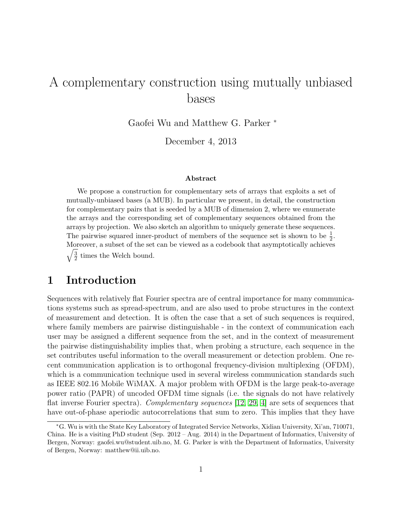# A complementary construction using mutually unbiased bases

Gaofei Wu and Matthew G. Parker <sup>∗</sup>

December 4, 2013

#### Abstract

We propose a construction for complementary sets of arrays that exploits a set of mutually-unbiased bases (a MUB). In particular we present, in detail, the construction for complementary pairs that is seeded by a MUB of dimension 2, where we enumerate the arrays and the corresponding set of complementary sequences obtained from the arrays by projection. We also sketch an algorithm to uniquely generate these sequences. The pairwise squared inner-product of members of the sequence set is shown to be  $\frac{1}{2}$ . Moreover, a subset of the set can be viewed as a codebook that asymptotically achieves  $\sqrt{3}$  $\frac{3}{2}$  times the Welch bound.

### 1 Introduction

Sequences with relatively flat Fourier spectra are of central importance for many communications systems such as spread-spectrum, and are also used to probe structures in the context of measurement and detection. It is often the case that a set of such sequences is required, where family members are pairwise distinguishable - in the context of communication each user may be assigned a different sequence from the set, and in the context of measurement the pairwise distinguishability implies that, when probing a structure, each sequence in the set contributes useful information to the overall measurement or detection problem. One recent communication application is to orthogonal frequency-division multiplexing (OFDM), which is a communication technique used in several wireless communication standards such as IEEE 802.16 Mobile WiMAX. A major problem with OFDM is the large peak-to-average power ratio (PAPR) of uncoded OFDM time signals (i.e. the signals do not have relatively flat inverse Fourier spectra). Complementary sequences [\[12,](#page-24-0) [29,](#page-25-0) [4\]](#page-23-0) are sets of sequences that have out-of-phase aperiodic autocorrelations that sum to zero. This implies that they have

<sup>∗</sup>G. Wu is with the State Key Laboratory of Integrated Service Networks, Xidian University, Xi'an, 710071, China. He is a visiting PhD student (Sep. 2012 – Aug. 2014) in the Department of Informatics, University of Bergen, Norway: gaofei.wu@student.uib.no, M. G. Parker is with the Department of Informatics, University of Bergen, Norway: matthew@ii.uib.no.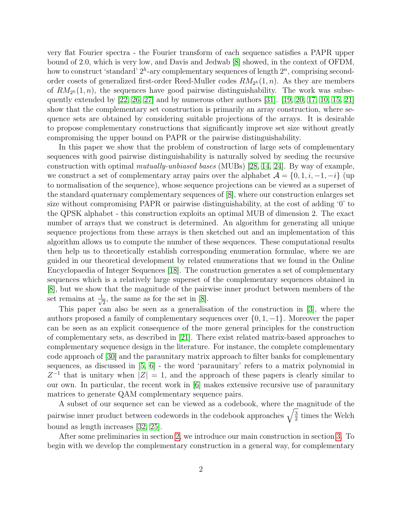very flat Fourier spectra - the Fourier transform of each sequence satisfies a PAPR upper bound of 2.0, which is very low, and Davis and Jedwab [\[8\]](#page-24-1) showed, in the context of OFDM, how to construct 'standard'  $2^h$ -ary complementary sequences of length  $2^n$ , comprising secondorder cosets of generalized first-order Reed-Muller codes  $RM_{2h}(1, n)$ . As they are members of  $RM_{2^h}(1,n)$ , the sequences have good pairwise distinguishability. The work was subsequently extended by [\[22,](#page-25-1) [26,](#page-25-2) [27\]](#page-25-3) and by numerous other authors [\[31\]](#page-25-4). [\[19,](#page-24-2) [20,](#page-24-3) [17,](#page-24-4) [10,](#page-24-5) [15,](#page-24-6) [21\]](#page-24-7) show that the complementary set construction is primarily an array construction, where sequence sets are obtained by considering suitable projections of the arrays. It is desirable to propose complementary constructions that significantly improve set size without greatly compromising the upper bound on PAPR or the pairwise distinguishability.

In this paper we show that the problem of construction of large sets of complementary sequences with good pairwise distinguishability is naturally solved by seeding the recursive construction with optimal mutually-unbiased bases (MUBs) [\[28,](#page-25-5) [14,](#page-24-8) [24\]](#page-25-6). By way of example, we construct a set of complementary array pairs over the alphabet  $\mathcal{A} = \{0, 1, i, -1, -i\}$  (up to normalisation of the sequence), whose sequence projections can be viewed as a superset of the standard quaternary complementary sequences of [\[8\]](#page-24-1), where our construction enlarges set size without compromising PAPR or pairwise distinguishability, at the cost of adding '0' to the QPSK alphabet - this construction exploits an optimal MUB of dimension 2. The exact number of arrays that we construct is determined. An algorithm for generating all unique sequence projections from these arrays is then sketched out and an implementation of this algorithm allows us to compute the number of these sequences. These computational results then help us to theoretically establish corresponding enumeration formulae, where we are guided in our theoretical development by related enumerations that we found in the Online Encyclopaedia of Integer Sequences [\[18\]](#page-24-9). The construction generates a set of complementary sequences which is a relatively large superset of the complementary sequences obtained in [\[8\]](#page-24-1), but we show that the magnitude of the pairwise inner product between members of the set remains at  $\frac{1}{\sqrt{2}}$  $\frac{1}{2}$ , the same as for the set in [\[8\]](#page-24-1).

This paper can also be seen as a generalisation of the construction in [\[3\]](#page-23-1), where the authors proposed a family of complementary sequences over  $\{0, 1, -1\}$ . Moreover the paper can be seen as an explicit consequence of the more general principles for the construction of complementary sets, as described in [\[21\]](#page-24-7). There exist related matrix-based approaches to complementary sequence design in the literature. For instance, the complete complementary code approach of [\[30\]](#page-25-7) and the paraunitary matrix approach to filter banks for complementary sequences, as discussed in  $[5, 6]$  $[5, 6]$  - the word 'paraunitary' refers to a matrix polynomial in  $Z^{-1}$  that is unitary when  $|Z|=1$ , and the approach of these papers is clearly similar to our own. In particular, the recent work in [\[6\]](#page-23-3) makes extensive recursive use of paraunitary matrices to generate QAM complementary sequence pairs.

A subset of our sequence set can be viewed as a codebook, where the magnitude of the pairwise inner product between codewords in the codebook approaches  $\sqrt{\frac{3}{2}}$  $\frac{3}{2}$  times the Welch bound as length increases [\[32,](#page-25-8) [25\]](#page-25-9).

After some preliminaries in section [2,](#page-2-0) we introduce our main construction in section [3.](#page-5-0) To begin with we develop the complementary construction in a general way, for complementary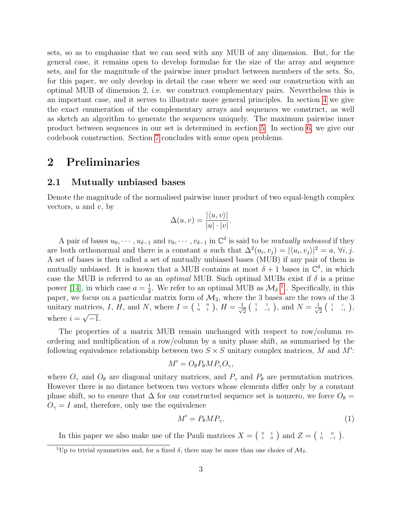sets, so as to emphasise that we can seed with any MUB of any dimension. But, for the general case, it remains open to develop formulae for the size of the array and sequence sets, and for the magnitude of the pairwise inner product between members of the sets. So, for this paper, we only develop in detail the case where we seed our construction with an optimal MUB of dimension 2, i.e. we construct complementary pairs. Nevertheless this is an important case, and it serves to illustrate more general principles. In section [4](#page-9-0) we give the exact enumeration of the complementary arrays and sequences we construct, as well as sketch an algorithm to generate the sequences uniquely. The maximum pairwise inner product between sequences in our set is determined in section [5.](#page-16-0) In section [6,](#page-18-0) we give our codebook construction. Section [7](#page-21-0) concludes with some open problems.

### <span id="page-2-0"></span>2 Preliminaries

#### <span id="page-2-3"></span>2.1 Mutually unbiased bases

Denote the magnitude of the normalised pairwise inner product of two equal-length complex vectors,  $u$  and  $v$ , by

$$
\Delta(u, v) = \frac{|\langle u, v \rangle|}{|u| \cdot |v|}.
$$

A pair of bases  $u_0, \dots, u_{\delta-1}$  and  $v_0, \dots, v_{\delta-1}$  in  $\mathbb{C}^{\delta}$  is said to be *mutually unbiased* if they are both orthonormal and there is a constant a such that  $\Delta^2(u_i, v_j) = |\langle u_i, v_j \rangle|^2 = a, \forall i, j$ . A set of bases is then called a set of mutually unbiased bases (MUB) if any pair of them is mutually unbiased. It is known that a MUB contains at most  $\delta + 1$  bases in  $\mathbb{C}^{\delta}$ , in which case the MUB is referred to as an *optimal* MUB. Such optimal MUBs exist if  $\delta$  is a prime power [\[14\]](#page-24-8), in which case  $a = \frac{1}{8}$  $\frac{1}{\delta}$  $\frac{1}{\delta}$  $\frac{1}{\delta}$ . We refer to an optimal MUB as  $\mathcal{M}_{\delta}^{-1}$ . Specifically, in this paper, we focus on a particular matrix form of  $\mathcal{M}_2$ , where the 3 bases are the rows of the 3 unitary matrices, I, H, and N, where  $I = \begin{pmatrix} 1 & 0 \\ 0 & 1 \end{pmatrix}$ ,  $H = \frac{1}{\sqrt{2}}$  $\frac{1}{2}$  ( $\frac{1}{1}$   $\frac{1}{-1}$ ), and  $N = \frac{1}{\sqrt{2}}$ atrices, I, H, and N, where  $I = \begin{pmatrix} 1 & 0 \\ 0 & 1 \end{pmatrix}$ ,  $H = \frac{1}{\sqrt{2}} \begin{pmatrix} 1 & 1 \\ 1 & -1 \end{pmatrix}$ , and  $N = \frac{1}{\sqrt{2}} \begin{pmatrix} 1 & i \\ 1 & -i \end{pmatrix}$ , where  $i=\sqrt{-1}$ .

The properties of a matrix MUB remain unchanged with respect to row/column reordering and multiplication of a row/column by a unity phase shift, as summarised by the following equivalence relationship between two  $S \times S$  unitary complex matrices, M and M':

$$
M' = O_{\theta} P_{\theta} M P_{\gamma} O_{\gamma},
$$

where  $O_{\gamma}$  and  $O_{\theta}$  are diagonal unitary matrices, and  $P_{\gamma}$  and  $P_{\theta}$  are permutation matrices. However there is no distance between two vectors whose elements differ only by a constant phase shift, so to ensure that  $\Delta$  for our constructed sequence set is nonzero, we force  $O_{\theta}$  =  $O_{\gamma} = I$  and, therefore, only use the equivalence

<span id="page-2-2"></span>
$$
M' = P_{\theta} M P_{\gamma}.
$$
 (1)

In this paper we also make use of the Pauli matrices  $X = \begin{pmatrix} 0 & 1 \\ 1 & 0 \end{pmatrix}$  and  $Z = \begin{pmatrix} 1 & 0 \\ 0 & -1 \end{pmatrix}$ .

<span id="page-2-1"></span><sup>&</sup>lt;sup>1</sup>Up to trivial symmetries and, for a fixed  $\delta$ , there may be more than one choice of  $\mathcal{M}_{\delta}$ .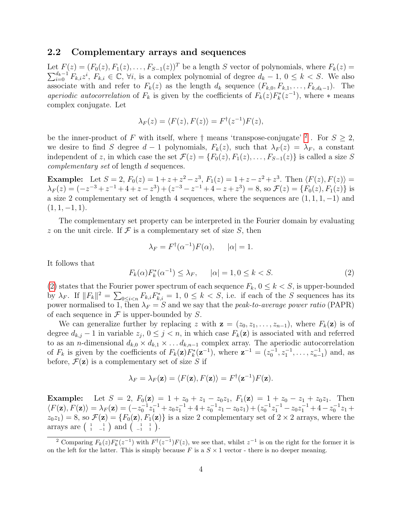#### 2.2 Complementary arrays and sequences

Let  $F(z) = (F_0(z), F_1(z), \ldots, F_{S-1}(z))^T$  be a length S vector of polynomials, where  $F_k(z) =$  $\sum_{i=0}^{d_k-1} F_{k,i} z^i$ ,  $F_{k,i} \in \mathbb{C}$ ,  $\forall i$ , is a complex polynomial of degree  $d_k - 1$ ,  $0 \leq k < S$ . We also associate with and refer to  $F_k(z)$  as the length  $d_k$  sequence  $(F_{k,0}, F_{k,1}, \ldots, F_{k,d_k-1})$ . The aperiodic autocorrelation of  $F_k$  is given by the coefficients of  $F_k(z)F_k^*(z^{-1})$ , where  $*$  means complex conjugate. Let

$$
\lambda_F(z) = \langle F(z), F(z) \rangle = F^{\dagger}(z^{-1})F(z),
$$

be the inner-product of F with itself, where  $\dagger$  means 'transpose-conjugate' <sup>[2](#page-3-0)</sup>. For  $S \geq 2$ , we desire to find S degree  $d-1$  polynomials,  $F_k(z)$ , such that  $\lambda_F(z) = \lambda_F$ , a constant independent of z, in which case the set  $\mathcal{F}(z) = \{F_0(z), F_1(z), \ldots, F_{S-1}(z)\}\$ is called a size S complementary set of length d sequences.

**Example:** Let  $S = 2$ ,  $F_0(z) = 1 + z + z^2 - z^3$ ,  $F_1(z) = 1 + z - z^2 + z^3$ . Then  $\langle F(z), F(z) \rangle =$  $\lambda_F(z) = (-z^{-3} + z^{-1} + 4 + z - z^3) + (z^{-3} - z^{-1} + 4 - z + z^3) = 8$ , so  $\mathcal{F}(z) = \{F_0(z), F_1(z)\}$  is a size 2 complementary set of length 4 sequences, where the sequences are  $(1, 1, 1, -1)$  and  $(1, 1, -1, 1).$ 

The complementary set property can be interpreted in the Fourier domain by evaluating z on the unit circle. If  $\mathcal F$  is a complementary set of size  $S$ , then

$$
\lambda_F = F^{\dagger}(\alpha^{-1})F(\alpha), \qquad |\alpha| = 1.
$$

It follows that

<span id="page-3-1"></span>
$$
F_k(\alpha) F_k^*(\alpha^{-1}) \le \lambda_F, \qquad |\alpha| = 1, 0 \le k < S. \tag{2}
$$

[\(2\)](#page-3-1) states that the Fourier power spectrum of each sequence  $F_k$ ,  $0 \leq k \leq S$ , is upper-bounded by  $\lambda_F$ . If  $||F_k||^2 = \sum_{0 \le i \le n} F_{k,i} F_{k,i}^* = 1, 0 \le k \le S$ , i.e. if each of the S sequences has its power normalised to 1, then  $\lambda_F = S$  and we say that the *peak-to-average power ratio* (PAPR) of each sequence in  $\mathcal F$  is upper-bounded by  $S$ .

We can generalize further by replacing z with  $z = (z_0, z_1, \ldots, z_{n-1})$ , where  $F_k(z)$  is of degree  $d_{k,j} - 1$  in variable  $z_j$ ,  $0 \leq j < n$ , in which case  $F_k(\mathbf{z})$  is associated with and referred to as an *n*-dimensional  $d_{k,0} \times d_{k,1} \times \ldots d_{k,n-1}$  complex array. The aperiodic autocorrelation of  $F_k$  is given by the coefficients of  $F_k(\mathbf{z})F_k^*(\mathbf{z}^{-1})$ , where  $\mathbf{z}^{-1} = (z_0^{-1}, z_1^{-1}, \dots, z_{n-1}^{-1})$  and, as before,  $\mathcal{F}(\mathbf{z})$  is a complementary set of size S if

$$
\lambda_F = \lambda_F(\mathbf{z}) = \langle F(\mathbf{z}), F(\mathbf{z}) \rangle = F^{\dagger}(\mathbf{z}^{-1})F(\mathbf{z}).
$$

**Example:** Let  $S = 2$ ,  $F_0(\mathbf{z}) = 1 + z_0 + z_1 - z_0z_1$ ,  $F_1(\mathbf{z}) = 1 + z_0 - z_1 + z_0z_1$ . Then  $\langle F(z), F(z) \rangle = \lambda_F(z) = (-z_0^{-1}z_1^{-1} + z_0z_1^{-1} + 4 + z_0^{-1}z_1 - z_0z_1) + (z_0^{-1}z_1^{-1} - z_0z_1^{-1} + 4 - z_0^{-1}z_1 +$  $z_0z_1$  = 8, so  $\mathcal{F}(\mathbf{z}) = \{F_0(\mathbf{z}), F_1(\mathbf{z})\}$  is a size 2 complementary set of  $2 \times 2$  arrays, where the arrays are  $\begin{pmatrix} 1 & 1 \\ 1 & -1 \end{pmatrix}$  and  $\begin{pmatrix} 1 & 1 \\ -1 & 1 \end{pmatrix}$ .

<span id="page-3-0"></span><sup>&</sup>lt;sup>2</sup> Comparing  $F_k(z)F_k^*(z^{-1})$  with  $F^{\dagger}(z^{-1})F(z)$ , we see that, whilst  $z^{-1}$  is on the right for the former it is on the left for the latter. This is simply because F is a  $S \times 1$  vector - there is no deeper meaning.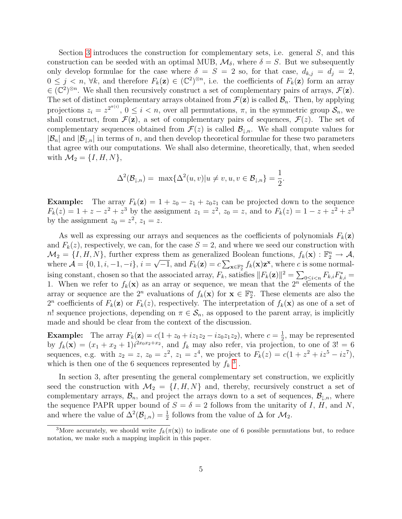Section [3](#page-5-0) introduces the construction for complementary sets, i.e. general S, and this construction can be seeded with an optimal MUB,  $\mathcal{M}_{\delta}$ , where  $\delta = S$ . But we subsequently only develop formulae for the case where  $\delta = S = 2$  so, for that case,  $d_{k,j} = d_j = 2$ ,  $0 \leq j \leq n$ ,  $\forall k$ , and therefore  $F_k(\mathbf{z}) \in (\mathbb{C}^2)^{\otimes n}$ , i.e. the coefficients of  $F_k(\mathbf{z})$  form an array  $\in (\mathbb{C}^2)^{\otimes n}$ . We shall then recursively construct a set of complementary pairs of arrays,  $\mathcal{F}(\mathbf{z})$ . The set of distinct complementary arrays obtained from  $\mathcal{F}(\mathbf{z})$  is called  $\mathcal{B}_n$ . Then, by applying projections  $z_i = z^{2^{\pi(i)}}$ ,  $0 \leq i < n$ , over all permutations,  $\pi$ , in the symmetric group  $\mathcal{S}_n$ , we shall construct, from  $\mathcal{F}(\mathbf{z})$ , a set of complementary pairs of sequences,  $\mathcal{F}(z)$ . The set of complementary sequences obtained from  $\mathcal{F}(z)$  is called  $\mathcal{B}_{\downarrow,n}$ . We shall compute values for  $|\mathcal{B}_n|$  and  $|\mathcal{B}_{\downarrow,n}|$  in terms of n, and then develop theoretical formulae for these two parameters that agree with our computations. We shall also determine, theoretically, that, when seeded with  $\mathcal{M}_2 = \{I, H, N\},\$ 

$$
\Delta^2(\mathcal{B}_{\downarrow,n}) = \max\{\Delta^2(u,v)|u \neq v, u, v \in \mathcal{B}_{\downarrow,n}\} = \frac{1}{2}.
$$

**Example:** The array  $F_k(z) = 1 + z_0 - z_1 + z_0z_1$  can be projected down to the sequence  $F_k(z) = 1 + z - z^2 + z^3$  by the assignment  $z_1 = z^2$ ,  $z_0 = z$ , and to  $F_k(z) = 1 - z + z^2 + z^3$ by the assignment  $z_0 = z^2$ ,  $z_1 = z$ .

As well as expressing our arrays and sequences as the coefficients of polynomials  $F_k(\mathbf{z})$ and  $F_k(z)$ , respectively, we can, for the case  $S = 2$ , and where we seed our construction with  $\mathcal{M}_2 = \{I, H, N\}$ , further express them as generalized Boolean functions,  $f_k(\mathbf{x}) : \mathbb{F}_2^n \to \mathcal{A}$ , where  $\mathcal{A} = \{0, 1, i, -1, -i\}, i = \sqrt{-1}$ , and  $F_k(\mathbf{z}) = c \sum_{\mathbf{x} \in \mathbb{F}_2^n} f_k(\mathbf{x}) \mathbf{z}^{\mathbf{x}}$ , where c is some normalising constant, chosen so that the associated array,  $F_k$ , satisfies  $||F_k(\mathbf{z})||^2 = \sum_{0 \le i < n} F_{k,i} F_{k,i}^* =$ 1. When we refer to  $f_k(\mathbf{x})$  as an array or sequence, we mean that the  $2^n$  elements of the array or sequence are the  $2^n$  evaluations of  $f_k(\mathbf{x})$  for  $\mathbf{x} \in \mathbb{F}_2^n$ . These elements are also the  $2^n$  coefficients of  $F_k(\mathbf{z})$  or  $F_k(z)$ , respectively. The interpretation of  $f_k(\mathbf{x})$  as one of a set of n! sequence projections, depending on  $\pi \in S_n$ , as opposed to the parent array, is implicitly made and should be clear from the context of the discussion.

**Example:** The array  $F_k(z) = c(1 + z_0 + iz_1z_2 - iz_0z_1z_2)$ , where  $c = \frac{1}{2}$  $\frac{1}{2}$ , may be represented by  $f_k(\mathbf{x}) = (x_1 + x_2 + 1)i^{2x_0x_2 + x_2}$ , and  $f_k$  may also refer, via projection, to one of 3! = 6 sequences, e.g. with  $z_2 = z$ ,  $z_0 = z^2$ ,  $z_1 = z^4$ , we project to  $F_k(z) = c(1 + z^2 + iz^5 - iz^7)$ , which is then one of the 6 sequences represented by  $f_k$ <sup>[3](#page-4-0)</sup>.

In section 3, after presenting the general complementary set construction, we explicitly seed the construction with  $\mathcal{M}_2 = \{I, H, N\}$  and, thereby, recursively construct a set of complementary arrays,  $\mathcal{B}_n$ , and project the arrays down to a set of sequences,  $\mathcal{B}_{\perp,n}$ , where the sequence PAPR upper bound of  $S = \delta = 2$  follows from the unitarity of I, H, and N, and where the value of  $\Delta^2(\mathcal{B}_{\downarrow,n}) = \frac{1}{2}$  follows from the value of  $\Delta$  for  $\mathcal{M}_2$ .

<span id="page-4-0"></span><sup>&</sup>lt;sup>3</sup>More accurately, we should write  $f_k(\pi(\mathbf{x}))$  to indicate one of 6 possible permutations but, to reduce notation, we make such a mapping implicit in this paper.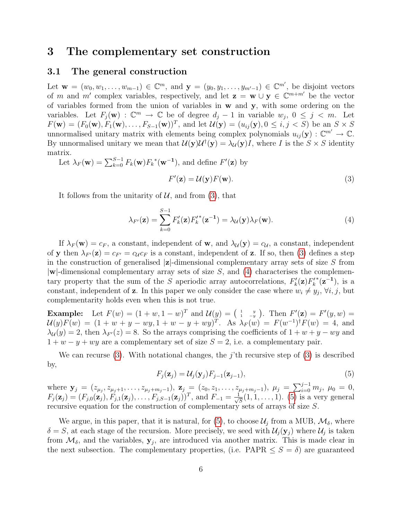### <span id="page-5-0"></span>3 The complementary set construction

#### 3.1 The general construction

Let  $\mathbf{w} = (w_0, w_1, \dots, w_{m-1}) \in \mathbb{C}^m$ , and  $\mathbf{y} = (y_0, y_1, \dots, y_{m'-1}) \in \mathbb{C}^{m'}$ , be disjoint vectors of m and m' complex variables, respectively, and let  $z = w \cup y \in \mathbb{C}^{m+m'}$  be the vector of variables formed from the union of variables in w and y, with some ordering on the variables. Let  $F_j(\mathbf{w}) : \mathbb{C}^m \to \mathbb{C}$  be of degree  $d_j - 1$  in variable  $w_j$ ,  $0 \leq j \leq m$ . Let  $F(\mathbf{w}) = (F_0(\mathbf{w}), F_1(\mathbf{w}), \dots, F_{S-1}(\mathbf{w}))^T$ , and let  $\mathcal{U}(\mathbf{y}) = (u_{ij}(\mathbf{y}), 0 \le i, j < S)$  be an  $S \times S$ unnormalised unitary matrix with elements being complex polynomials  $u_{ij}(\mathbf{y}) : \mathbb{C}^{m'} \to \mathbb{C}$ . By unnormalised unitary we mean that  $\mathcal{U}(\mathbf{y})\mathcal{U}^{\dagger}(\mathbf{y}) = \lambda_{\mathcal{U}}(\mathbf{y})I$ , where I is the  $S \times S$  identity matrix.

Let 
$$
\lambda_F(\mathbf{w}) = \sum_{k=0}^{S-1} F_k(\mathbf{w}) F_k^*(\mathbf{w}^{-1})
$$
, and define  $F'(\mathbf{z})$  by  

$$
F'(\mathbf{z}) = \mathcal{U}(\mathbf{y}) F(\mathbf{w}).
$$
(3)

It follows from the unitarity of  $U$ , and from [\(3\)](#page-5-1), that

<span id="page-5-2"></span><span id="page-5-1"></span>
$$
\lambda_{F'}(\mathbf{z}) = \sum_{k=0}^{S-1} F'_k(\mathbf{z}) F'^*_k(\mathbf{z}^{-1}) = \lambda_{\mathcal{U}}(\mathbf{y}) \lambda_F(\mathbf{w}). \tag{4}
$$

If  $\lambda_F(\mathbf{w}) = c_F$ , a constant, independent of **w**, and  $\lambda_{\mathcal{U}}(\mathbf{y}) = c_{\mathcal{U}}$ , a constant, independent of y then  $\lambda_{F'}(z) = c_{F'} = c_{\mathcal{U}}c_F$  is a constant, independent of z. If so, then [\(3\)](#page-5-1) defines a step in the construction of generalised  $|z|$ -dimensional complementary array sets of size S from  $|\mathbf{w}|$ -dimensional complementary array sets of size S, and [\(4\)](#page-5-2) characterises the complementary property that the sum of the S aperiodic array autocorrelations,  $F'_k(\mathbf{z})F'_k$  $*(z^{-1}),$  is a constant, independent of **z**. In this paper we only consider the case where  $w_i \neq y_j$ ,  $\forall i, j$ , but complementarity holds even when this is not true.

**Example:** Let  $F(w) = (1 + w, 1 - w)^T$  and  $\mathcal{U}(y) = \begin{pmatrix} 1 & y \\ 1 & -y \end{pmatrix}$ . Then  $F'(\mathbf{z}) = F'(y, w) =$  $\mathcal{U}(y)F(w) = (1 + w + y - wy, 1 + w - y + wy)^T$ . As  $\lambda_F(w) = F(w^{-1})^{\dagger}F(w) = 4$ , and  $\lambda_{\mathcal{U}}(y) = 2$ , then  $\lambda_{F}(z) = 8$ . So the arrays comprising the coefficients of  $1 + w + y - wy$  and  $1 + w - y + wy$  are a complementary set of size  $S = 2$ , i.e. a complementary pair.

We can recurse [\(3\)](#page-5-1). With notational changes, the j'th recursive step of (3) is described by,

<span id="page-5-3"></span>
$$
F_j(\mathbf{z}_j) = \mathcal{U}_j(\mathbf{y}_j) F_{j-1}(\mathbf{z}_{j-1}),\tag{5}
$$

where  $\mathbf{y}_j = (z_{\mu_j}, z_{\mu_j+1}, \ldots, z_{\mu_j+m_j-1}), \mathbf{z}_j = (z_0, z_1, \ldots, z_{\mu_j+m_j-1}), \mu_j = \sum_{i=0}^{j-1} m_j, \mu_0 = 0,$  $F_j(\mathbf{z}_j) = (F_{j,0}(\mathbf{z}_j), F_{j,1}(\mathbf{z}_j), \ldots, F_{j,S-1}(\mathbf{z}_j))^T$ , and  $F_{-1} = \frac{1}{\sqrt{2}}$  $\overline{S}(1,1,\ldots,1)$ . [\(5\)](#page-5-3) is a very general recursive equation for the construction of complementary sets of arrays of size S.

We argue, in this paper, that it is natural, for [\(5\)](#page-5-3), to choose  $\mathcal{U}_j$  from a MUB,  $\mathcal{M}_\delta$ , where  $\delta = S$ , at each stage of the recursion. More precisely, we seed with  $\mathcal{U}_j(\mathbf{y}_j)$  where  $\mathcal{U}_j$  is taken from  $\mathcal{M}_{\delta}$ , and the variables,  $\mathbf{y}_j$ , are introduced via another matrix. This is made clear in the next subsection. The complementary properties, (i.e. PAPR  $\leq S = \delta$ ) are guaranteed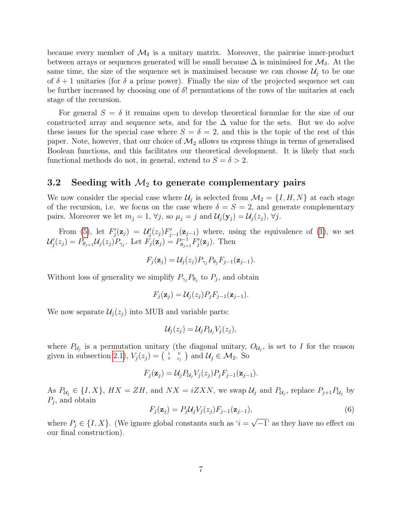because every member of  $\mathcal{M}_{\delta}$  is a unitary matrix. Moreover, the pairwise inner-product between arrays or sequences generated will be small because  $\Delta$  is minimised for  $\mathcal{M}_{\delta}$ . At the same time, the size of the sequence set is maximised because we can choose  $\mathcal{U}_i$  to be one of  $\delta + 1$  unitaries (for  $\delta$  a prime power). Finally the size of the projected sequence set can be further increased by choosing one of  $\delta$ ! permutations of the rows of the unitaries at each stage of the recursion.

For general  $S = \delta$  it remains open to develop theoretical formulae for the size of our constructed array and sequence sets, and for the  $\Delta$  value for the sets. But we do solve these issues for the special case where  $S = \delta = 2$ , and this is the topic of the rest of this paper. Note, however, that our choice of  $\mathcal{M}_2$  allows us express things in terms of generalised Boolean functions, and this facilitates our theoretical development. It is likely that such functional methods do not, in general, extend to  $S = \delta > 2$ .

### 3.2 Seeding with  $\mathcal{M}_2$  to generate complementary pairs

We now consider the special case where  $\mathcal{U}_j$  is selected from  $\mathcal{M}_2 = \{I, H, N\}$  at each stage of the recursion, i.e. we focus on the case where  $\delta = S = 2$ , and generate complementary pairs. Moreover we let  $m_j = 1$ ,  $\forall j$ , so  $\mu_j = j$  and  $\mathcal{U}_j(\mathbf{y}_j) = \mathcal{U}_j(z_j)$ ,  $\forall j$ .

From [\(5\)](#page-5-3), let  $F'_j(\mathbf{z}_j) = \mathcal{U}'_j(z_j) F'_{j-1}(\mathbf{z}_{j-1})$  where, using the equivalence of [\(1\)](#page-2-2), we set  $\mathcal{U}'_j(z_j) = P_{\theta_{j+1}} \mathcal{U}_j(z_j) P_{\gamma_j}$ . Let  $F_j(\mathbf{z}_j) = P_{\theta_{j+1}}^{-1}$  $\sum_{\theta_{j+1}}^{p-1} F'_j(\mathbf{z}_j)$ . Then

$$
F_j(\mathbf{z}_j) = \mathcal{U}_j(z_j) P_{\gamma_j} P_{\theta_j} F_{j-1}(\mathbf{z}_{j-1}).
$$

Without loss of generality we simplify  $P_{\gamma_j}P_{\theta_j}$  to  $P_j$ , and obtain

$$
F_j(\mathbf{z}_j) = \mathcal{U}_j(z_j) P_j F_{j-1}(\mathbf{z}_{j-1}).
$$

We now separate  $\mathcal{U}_i(z_i)$  into MUB and variable parts:

$$
\mathcal{U}_j(z_j) = \mathcal{U}_j P_{\mathcal{U}_j} V_j(z_j),
$$

where  $P_{\mathcal{U}_j}$  is a permutation unitary (the diagonal unitary,  $O_{\mathcal{U}_j}$ , is set to I for the reason given in subsection [2.1\)](#page-2-3),  $V_j(z_j) = \begin{pmatrix} 1 & 0 \\ 0 & z_j \end{pmatrix}$  and  $\mathcal{U}_j \in \mathcal{M}_2$ . So

$$
F_j(\mathbf{z}_j) = \mathcal{U}_j P_{\mathcal{U}_j} V_j(z_j) P_j F_{j-1}(\mathbf{z}_{j-1}).
$$

As  $P_{\mathcal{U}_j} \in \{I, X\}$ ,  $HX = ZH$ , and  $NX = iZXN$ , we swap  $\mathcal{U}_j$  and  $P_{\mathcal{U}_j}$ , replace  $P_{j+1}P_{\mathcal{U}_j}$  by  $P_j$ , and obtain

<span id="page-6-0"></span>
$$
F_j(\mathbf{z}_j) = P_j \mathcal{U}_j V_j(z_j) F_{j-1}(\mathbf{z}_{j-1}),\tag{6}
$$

where  $P_j \in \{I, X\}$ . (We ignore global constants such as ' $i =$  $\overline{-1}$ ' as they have no effect on our final construction).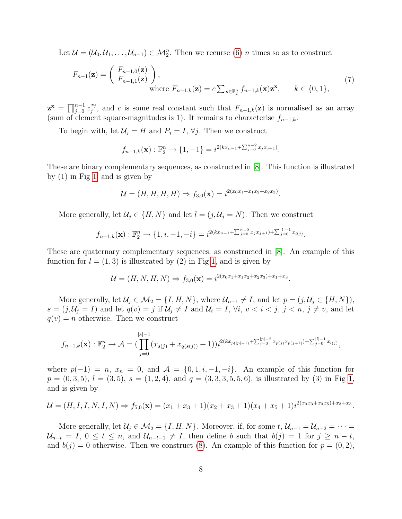Let  $\mathcal{U} = (\mathcal{U}_0, \mathcal{U}_1, \dots, \mathcal{U}_{n-1}) \in \mathcal{M}_2^n$ . Then we recurse [\(6\)](#page-6-0) *n* times so as to construct

<span id="page-7-0"></span>
$$
F_{n-1}(\mathbf{z}) = \begin{pmatrix} F_{n-1,0}(\mathbf{z}) \\ F_{n-1,1}(\mathbf{z}) \end{pmatrix},
$$
  
where  $F_{n-1,k}(\mathbf{z}) = c \sum_{\mathbf{x} \in \mathbb{F}_2^n} f_{n-1,k}(\mathbf{x}) \mathbf{z}^{\mathbf{x}}, \qquad k \in \{0, 1\},$  (7)

 $\mathbf{z}^{\mathbf{x}}\,=\,\prod_{j=0}^{n-1}z_j^{x_j}$  $j^{x_j}$ , and c is some real constant such that  $F_{n-1,k}(\mathbf{z})$  is normalised as an array (sum of element square-magnitudes is 1). It remains to characterise  $f_{n-1,k}$ .

To begin with, let  $\mathcal{U}_j = H$  and  $P_j = I$ ,  $\forall j$ . Then we construct

$$
f_{n-1,k}(\mathbf{x}): \mathbb{F}_2^n \to \{1, -1\} = i^{2(kx_{n-1} + \sum_{j=0}^{n-2} x_j x_{j+1})}.
$$

These are binary complementary sequences, as constructed in [\[8\]](#page-24-1). This function is illustrated by (1) in Fig [1,](#page-8-0) and is given by

$$
\mathcal{U} = (H, H, H, H) \Rightarrow f_{3,0}(\mathbf{x}) = i^{2(x_0x_1 + x_1x_2 + x_2x_3)}.
$$

More generally, let  $\mathcal{U}_j \in \{H, N\}$  and let  $l = (j, \mathcal{U}_j = N)$ . Then we construct

$$
f_{n-1,k}(\mathbf{x}): \mathbb{F}_2^n \to \{1, i, -1, -i\} = i^{2(kx_{n-1} + \sum_{j=0}^{n-2} x_j x_{j+1}) + \sum_{j=0}^{|l|-1} x_{l(j)}}.
$$

These are quaternary complementary sequences, as constructed in [\[8\]](#page-24-1). An example of this function for  $l = (1, 3)$  is illustrated by (2) in Fig [1,](#page-8-0) and is given by

$$
\mathcal{U} = (H, N, H, N) \Rightarrow f_{3,0}(\mathbf{x}) = i^{2(x_0x_1 + x_1x_2 + x_2x_3) + x_1 + x_3}.
$$

More generally, let  $\mathcal{U}_j \in \mathcal{M}_2 = \{I, H, N\}$ , where  $\mathcal{U}_{n-1} \neq I$ , and let  $p = (j, \mathcal{U}_j \in \{H, N\})$ ,  $s = (j, \mathcal{U}_j = I)$  and let  $q(v) = j$  if  $\mathcal{U}_j \neq I$  and  $\mathcal{U}_i = I$ ,  $\forall i, v < i < j, j < n, j \neq v$ , and let  $q(v) = n$  otherwise. Then we construct

$$
f_{n-1,k}(\mathbf{x}): \mathbb{F}_2^n \to \mathcal{A} = \big(\prod_{j=0}^{|s|-1} (x_{s(j)} + x_{q(s(j))} + 1)\big) i^{2(kx_{p(|p|-1)} + \sum_{j=0}^{|p|-2} x_{p(j)} x_{p(j+1)}) + \sum_{j=0}^{|l|-1} x_{l(j)},
$$

where  $p(-1) = n$ ,  $x_n = 0$ , and  $\mathcal{A} = \{0, 1, i, -1, -i\}$ . An example of this function for  $p = (0, 3, 5), l = (3, 5), s = (1, 2, 4), \text{ and } q = (3, 3, 3, 5, 5, 6), \text{ is illustrated by (3) in Fig 1,}$  $p = (0, 3, 5), l = (3, 5), s = (1, 2, 4), \text{ and } q = (3, 3, 3, 5, 5, 6), \text{ is illustrated by (3) in Fig 1,}$  $p = (0, 3, 5), l = (3, 5), s = (1, 2, 4), \text{ and } q = (3, 3, 3, 5, 5, 6), \text{ is illustrated by (3) in Fig 1,}$ and is given by

$$
\mathcal{U} = (H, I, I, N, I, N) \Rightarrow f_{5,0}(\mathbf{x}) = (x_1 + x_3 + 1)(x_2 + x_3 + 1)(x_4 + x_5 + 1)i^{2(x_0x_3 + x_3x_5) + x_3 + x_5}.
$$

More generally, let  $\mathcal{U}_j \in \mathcal{M}_2 = \{I, H, N\}$ . Moreover, if, for some  $t, \mathcal{U}_{n-1} = \mathcal{U}_{n-2} = \cdots =$  $\mathcal{U}_{n-t} = I, 0 \leq t \leq n$ , and  $\mathcal{U}_{n-t-1} \neq I$ , then define b such that  $b(j) = 1$  for  $j \geq n-t$ , and  $b(j) = 0$  otherwise. Then we construct [\(8\)](#page-8-1). An example of this function for  $p = (0, 2)$ ,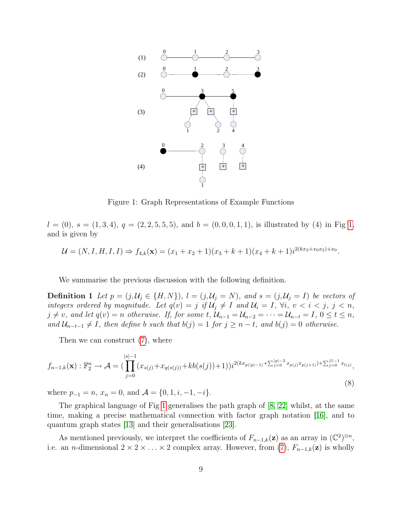

<span id="page-8-2"></span><span id="page-8-0"></span>Figure 1: Graph Representations of Example Functions

 $l = (0), s = (1, 3, 4), q = (2, 2, 5, 5, 5), \text{ and } b = (0, 0, 0, 1, 1), \text{ is illustrated by (4) in Fig 1,}$  $l = (0), s = (1, 3, 4), q = (2, 2, 5, 5, 5), \text{ and } b = (0, 0, 0, 1, 1), \text{ is illustrated by (4) in Fig 1,}$  $l = (0), s = (1, 3, 4), q = (2, 2, 5, 5, 5), \text{ and } b = (0, 0, 0, 1, 1), \text{ is illustrated by (4) in Fig 1,}$ and is given by

$$
\mathcal{U} = (N, I, H, I, I) \Rightarrow f_{4,k}(\mathbf{x}) = (x_1 + x_2 + 1)(x_3 + k + 1)(x_4 + k + 1)i^{2(kx_2 + x_0x_2) + x_0}.
$$

We summarise the previous discussion with the following definition.

**Definition 1** Let  $p = (j, \mathcal{U}_j \in \{H, N\})$ ,  $l = (j, \mathcal{U}_j = N)$ , and  $s = (j, \mathcal{U}_j = I)$  be vectors of integers ordered by magnitude. Let  $q(v) = j$  if  $\mathcal{U}_j \neq I$  and  $\mathcal{U}_i = I$ ,  $\forall i, v < i < j, j < n$ ,  $j \neq v$ , and let  $q(v) = n$  otherwise. If, for some t,  $\mathcal{U}_{n-1} = \mathcal{U}_{n-2} = \cdots = \mathcal{U}_{n-t} = I$ ,  $0 \leq t \leq n$ , and  $\mathcal{U}_{n-t-1} \neq I$ , then define b such that  $b(j) = 1$  for  $j \geq n-t$ , and  $b(j) = 0$  otherwise.

Then we can construct [\(7\)](#page-7-0), where

<span id="page-8-1"></span>
$$
f_{n-1,k}(\mathbf{x}) : \mathbb{F}_2^n \to \mathcal{A} = \left( \prod_{j=0}^{|s|-1} (x_{s(j)} + x_{q(s(j))} + kb(s(j)) + 1) \right) i^{2(kx_{p(|p|-1)} + \sum_{j=0}^{|p|-2} x_{p(j)} x_{p(j+1)}) + \sum_{j=0}^{|l|-1} x_{l(j)},
$$
\n(8)

where  $p_{-1} = n$ ,  $x_n = 0$ , and  $\mathcal{A} = \{0, 1, i, -1, -i\}.$ 

The graphical language of Fig [1](#page-8-0) generalises the path graph of [\[8,](#page-24-1) [22\]](#page-25-1) whilst, at the same time, making a precise mathematical connection with factor graph notation [\[16\]](#page-24-10), and to quantum graph states [\[13\]](#page-24-11) and their generalisations [\[23\]](#page-25-10).

As mentioned previously, we interpret the coefficients of  $F_{n-1,k}(\mathbf{z})$  as an array in  $(\mathbb{C}^2)^{\otimes n}$ , i.e. an n-dimensional  $2 \times 2 \times \ldots \times 2$  complex array. However, from [\(7\)](#page-7-0),  $F_{n-1,k}(\mathbf{z})$  is wholly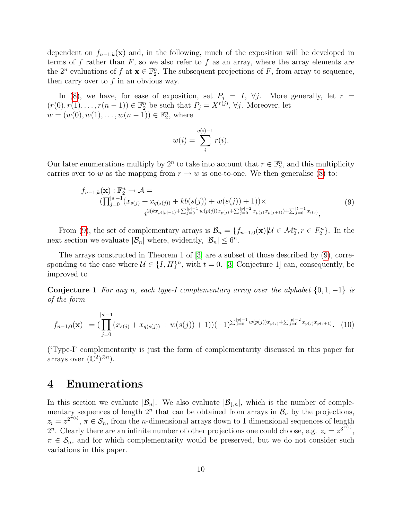dependent on  $f_{n-1,k}(\mathbf{x})$  and, in the following, much of the exposition will be developed in terms of f rather than  $F$ , so we also refer to f as an array, where the array elements are the  $2^n$  evaluations of  $f$  at  $\mathbf{x} \in \mathbb{F}_2^n$ . The subsequent projections of  $F$ , from array to sequence, then carry over to  $f$  in an obvious way.

In [\(8\)](#page-8-1), we have, for ease of exposition, set  $P_j = I$ ,  $\forall j$ . More generally, let  $r =$  $(r(0), r(1), \ldots, r(n-1)) \in \mathbb{F}_2^n$  be such that  $P_j = X^{r(j)}, \forall j$ . Moreover, let  $w = (w(0), w(1), \dots, w(n-1)) \in \mathbb{F}_2^n$ , where

$$
w(i) = \sum_{i}^{q(i)-1} r(i).
$$

Our later enumerations multiply by  $2^n$  to take into account that  $r \in \mathbb{F}_2^n$ , and this multiplicity carries over to w as the mapping from  $r \to w$  is one-to-one. We then generalise [\(8\)](#page-8-1) to:

<span id="page-9-1"></span>
$$
f_{n-1,k}(\mathbf{x}): \mathbb{F}_2^n \to \mathcal{A} =
$$
  
\n
$$
(\prod_{j=0}^{|s|-1} (x_{s(j)} + x_{q(s(j))} + kb(s(j)) + w(s(j)) + 1)) \times
$$
  
\n
$$
i^{2(kx_{p(|p|-1)} + \sum_{j=0}^{|p|-1} w(p(j))x_{p(j)} + \sum_{j=0}^{|p|-2} x_{p(j)}x_{p(j+1)}) + \sum_{j=0}^{|l|-1} x_{l(j)},
$$
\n(9)

From [\(9\)](#page-9-1), the set of complementary arrays is  $\mathcal{B}_n = \{f_{n-1,0}(\mathbf{x}) | \mathcal{U} \in \mathcal{M}_2^n, r \in F_2^n\}$ . In the next section we evaluate  $|\mathcal{B}_n|$  where, evidently,  $|\mathcal{B}_n| \leq 6^n$ .

The arrays constructed in Theorem 1 of [\[3\]](#page-23-1) are a subset of those described by [\(9\)](#page-9-1), corresponding to the case where  $\mathcal{U} \in \{I, H\}^n$ , with  $t = 0$ . [\[3,](#page-23-1) Conjecture 1] can, consequently, be improved to

**Conjecture 1** For any n, each type-I complementary array over the alphabet  $\{0, 1, -1\}$  is of the form

$$
f_{n-1,0}(\mathbf{x}) = \left( \prod_{j=0}^{|s|-1} (x_{s(j)} + x_{q(s(j))} + w(s(j)) + 1) \right) (-1)^{\sum_{j=0}^{|p|-1} w(p(j)) x_{p(j)} + \sum_{j=0}^{|p|-2} x_{p(j)} x_{p(j+1)}}.
$$
 (10)

('Type-I' complementarity is just the form of complementarity discussed in this paper for arrays over  $(\mathbb{C}^2)^{\otimes n}$ ).

### <span id="page-9-0"></span>4 Enumerations

In this section we evaluate  $|\mathcal{B}_n|$ . We also evaluate  $|\mathcal{B}_{\perp,n}|$ , which is the number of complementary sequences of length  $2^n$  that can be obtained from arrays in  $\mathcal{B}_n$  by the projections,  $z_i = z^{2^{\pi(i)}}$ ,  $\pi \in \mathcal{S}_n$ , from the *n*-dimensional arrays down to 1 dimensional sequences of length 2<sup>n</sup>. Clearly there are an infinite number of other projections one could choose, e.g.  $z_i = z^{3^{\bar{\pi}(i)}}$ ,  $\pi \in \mathcal{S}_n$ , and for which complementarity would be preserved, but we do not consider such variations in this paper.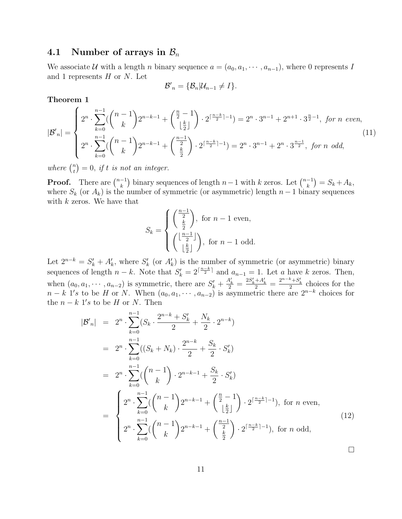### 4.1 Number of arrays in  $\mathcal{B}_n$

We associate U with a length n binary sequence  $a = (a_0, a_1, \dots, a_{n-1})$ , where 0 represents I and 1 represents  $H$  or  $N$ . Let

$$
\mathcal{B}'_n = \{\mathcal{B}_n | \mathcal{U}_{n-1} \neq I\}.
$$

Theorem 1

$$
|\mathcal{B}'_n| = \begin{cases} 2^n \cdot \sum_{k=0}^{n-1} (\binom{n-1}{k} 2^{n-k-1} + \binom{\frac{n}{2}-1}{\lfloor \frac{k}{2} \rfloor}) \cdot 2^{\lceil \frac{n-k}{2} \rceil - 1} = 2^n \cdot 3^{n-1} + 2^{n+1} \cdot 3^{\frac{n}{2}-1}, \text{ for } n \text{ even}, \\ 2^n \cdot \sum_{k=0}^{n-1} (\binom{n-1}{k} 2^{n-k-1} + \binom{\frac{n-1}{2}}{\frac{k}{2}}) \cdot 2^{\lceil \frac{n-k}{2} \rceil - 1} = 2^n \cdot 3^{n-1} + 2^n \cdot 3^{\frac{n-1}{2}}, \text{ for } n \text{ odd}, \end{cases} (11)
$$

where  $\binom{n}{t}$  $t^{(n)}_{t} = 0$ , if t is not an integer.

**Proof.** There are  $\binom{n-1}{k}$  $\binom{-1}{k}$  binary sequences of length  $n-1$  with  $k$  zeros. Let  $\binom{n-1}{k}$  $\binom{-1}{k} = S_k + A_k,$ where  $S_k$  (or  $A_k$ ) is the number of symmetric (or asymmetric) length  $n-1$  binary sequences with  $k$  zeros. We have that

$$
S_k = \begin{cases} \left(\frac{\frac{n-1}{2}}{\frac{k}{2}}\right), \text{ for } n-1 \text{ even,} \\ \left(\frac{\lfloor \frac{n-1}{2} \rfloor}{\lfloor \frac{k}{2} \rfloor}\right), \text{ for } n-1 \text{ odd.} \end{cases}
$$

Let  $2^{n-k} = S'_k + A'_k$ , where  $S'_k$  (or  $A'_k$ ) is the number of symmetric (or asymmetric) binary sequences of length  $n - k$ . Note that  $S'_k = 2^{\lceil \frac{n-k}{2} \rceil}$  and  $a_{n-1} = 1$ . Let a have k zeros. Then, when  $(a_0, a_1, \dots, a_{n-2})$  is symmetric, there are  $S'_k + \frac{A'_k}{2} = \frac{2S'_k + A'_k}{2} = \frac{2^{n-k} + S'_k}{2}$  choices for the  $n - k$  1's to be H or N. When  $(a_0, a_1, \dots, a_{n-2})$  is asymmetric there are  $2^{n-k}$  choices for the  $n - k$  1's to be H or N. Then

$$
|\mathcal{B}'_{n}| = 2^{n} \cdot \sum_{k=0}^{n-1} (S_{k} \cdot \frac{2^{n-k} + S'_{k}}{2} + \frac{N_{k}}{2} \cdot 2^{n-k})
$$
  
\n
$$
= 2^{n} \cdot \sum_{k=0}^{n-1} ((S_{k} + N_{k}) \cdot \frac{2^{n-k}}{2} + \frac{S_{k}}{2} \cdot S'_{k})
$$
  
\n
$$
= 2^{n} \cdot \sum_{k=0}^{n-1} (\binom{n-1}{k} \cdot 2^{n-k-1} + \frac{S_{k}}{2} \cdot S'_{k})
$$
  
\n
$$
= \begin{cases} 2^{n} \cdot \sum_{k=0}^{n-1} (\binom{n-1}{k} 2^{n-k-1} + \binom{\frac{n}{2} - 1}{\lfloor \frac{k}{2} \rfloor} \cdot 2^{\lceil \frac{n-k}{2} \rceil - 1}), \text{ for } n \text{ even,} \\ 2^{n} \cdot \sum_{k=0}^{n-1} (\binom{n-1}{k} 2^{n-k-1} + \binom{\frac{n-1}{2}}{\frac{k}{2}} \cdot 2^{\lceil \frac{n-k}{2} \rceil - 1}), \text{ for } n \text{ odd,} \end{cases}
$$
(12)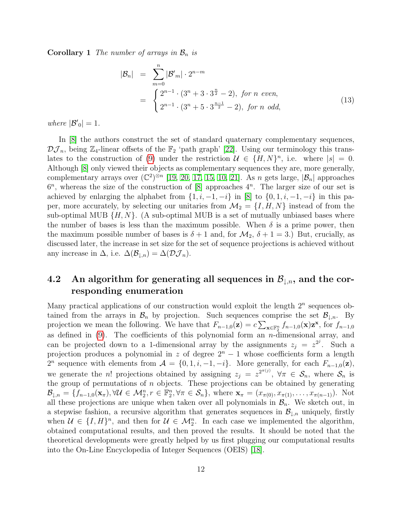**Corollary 1** The number of arrays in  $\mathcal{B}_n$  is

$$
|\mathcal{B}_n| = \sum_{m=0}^n |\mathcal{B}'_m| \cdot 2^{n-m}
$$
  
= 
$$
\begin{cases} 2^{n-1} \cdot (3^n + 3 \cdot 3^{\frac{n}{2}} - 2), \text{ for } n \text{ even,} \\ 2^{n-1} \cdot (3^n + 5 \cdot 3^{\frac{n-1}{2}} - 2), \text{ for } n \text{ odd,} \end{cases}
$$
(13)

where  $|\mathcal{B'}_0|=1$ .

In [\[8\]](#page-24-1) the authors construct the set of standard quaternary complementary sequences,  $\mathcal{DJ}_n$ , being  $\mathbb{Z}_4$ -linear offsets of the  $\mathbb{F}_2$  'path graph' [\[22\]](#page-25-1). Using our terminology this trans-lates to the construction of [\(9\)](#page-9-1) under the restriction  $\mathcal{U} \in \{H, N\}^n$ , i.e. where  $|s| = 0$ . Although [\[8\]](#page-24-1) only viewed their objects as complementary sequences they are, more generally, complementary arrays over  $(\mathbb{C}^2)^{\otimes n}$  [\[19,](#page-24-2) [20,](#page-24-3) [17,](#page-24-4) [15,](#page-24-6) [10,](#page-24-5) [21\]](#page-24-7). As n gets large,  $|\mathcal{B}_n|$  approaches  $6<sup>n</sup>$ , whereas the size of the construction of [\[8\]](#page-24-1) approaches  $4<sup>n</sup>$ . The larger size of our set is achieved by enlarging the alphabet from  $\{1, i, -1, -i\}$  in [\[8\]](#page-24-1) to  $\{0, 1, i, -1, -i\}$  in this paper, more accurately, by selecting our unitaries from  $\mathcal{M}_2 = \{I, H, N\}$  instead of from the sub-optimal MUB  $\{H, N\}$ . (A sub-optimal MUB is a set of mutually unbiased bases where the number of bases is less than the maximum possible. When  $\delta$  is a prime power, then the maximum possible number of bases is  $\delta + 1$  and, for  $\mathcal{M}_2$ ,  $\delta + 1 = 3$ .) But, crucially, as discussed later, the increase in set size for the set of sequence projections is achieved without any increase in  $\Delta$ , i.e.  $\Delta(\mathcal{B}_{\perp,n}) = \Delta(\mathcal{DJ}_n)$ .

# 4.2 An algorithm for generating all sequences in  $\mathcal{B}_{\downarrow,n}$ , and the corresponding enumeration

Many practical applications of our construction would exploit the length  $2<sup>n</sup>$  sequences obtained from the arrays in  $\mathcal{B}_n$  by projection. Such sequences comprise the set  $\mathcal{B}_{\downarrow,n}$ . By projection we mean the following. We have that  $F_{n-1,0}(\mathbf{z}) = c \sum_{\mathbf{x} \in \mathbb{F}_2^n} f_{n-1,0}(\mathbf{x}) \mathbf{z}^{\mathbf{x}},$  for  $f_{n-1,0}$ as defined in [\(9\)](#page-9-1). The coefficients of this polynomial form an *n*-dimensional array, and can be projected down to a 1-dimensional array by the assignments  $z_j = z^{2^j}$ . Such a projection produces a polynomial in z of degree  $2<sup>n</sup> - 1$  whose coefficients form a length 2<sup>n</sup> sequence with elements from  $A = \{0, 1, i, -1, -i\}$ . More generally, for each  $F_{n-1,0}(\mathbf{z}),$ we generate the *n*! projections obtained by assigning  $z_j = z^{i}$ ,  $\forall \pi \in S_n$ , where  $S_n$  is the group of permutations of  $n$  objects. These projections can be obtained by generating  $\mathcal{B}_{\downarrow,n} = \{f_{n-1,0}(\mathbf{x}_{\pi}), \forall \mathcal{U} \in \mathcal{M}_{2}^{n}, r \in \mathbb{F}_{2}^{n}, \forall \pi \in \mathcal{S}_{n}\}\$ , where  $\mathbf{x}_{\pi} = (x_{\pi(0)}, x_{\pi(1)}, \ldots, x_{\pi(n-1)})$ . Not all these projections are unique when taken over all polynomials in  $\mathcal{B}_n$ . We sketch out, in a stepwise fashion, a recursive algorithm that generates sequences in  $\mathcal{B}_{\downarrow,n}$  uniquely, firstly when  $\mathcal{U} \in \{I, H\}^n$ , and then for  $\mathcal{U} \in \mathcal{M}_2^n$ . In each case we implemented the algorithm, obtained computational results, and then proved the results. It should be noted that the theoretical developments were greatly helped by us first plugging our computational results into the On-Line Encyclopedia of Integer Sequences (OEIS) [\[18\]](#page-24-9).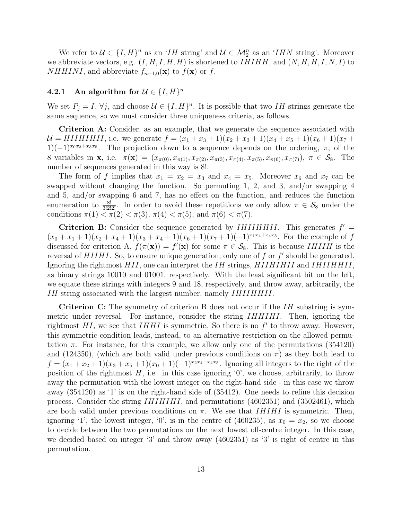We refer to  $\mathcal{U} \in \{I, H\}^n$  as an 'IH string' and  $\mathcal{U} \in \mathcal{M}_2^n$  as an 'IHN string'. Moreover we abbreviate vectors, e.g.  $(I, H, I, H, H)$  is shortened to  $IHHH$ , and  $(N, H, H, I, N, I)$  to *NHHINI*, and abbreviate  $f_{n-1,0}(\mathbf{x})$  to  $f(\mathbf{x})$  or  $f$ .

### <span id="page-12-0"></span>4.2.1 An algorithm for  $\mathcal{U} \in \{I, H\}^n$

We set  $P_j = I$ ,  $\forall j$ , and choose  $\mathcal{U} \in \{I, H\}^n$ . It is possible that two IH strings generate the same sequence, so we must consider three uniqueness criteria, as follows.

Criterion A: Consider, as an example, that we generate the sequence associated with  $\mathcal{U} = HIIHHII,$  i.e. we generate  $f = (x_1 + x_3 + 1)(x_2 + x_3 + 1)(x_4 + x_5 + 1)(x_6 + 1)(x_7 + 1)$  $1)(-1)^{x_0x_3+x_3x_5}$ . The projection down to a sequence depends on the ordering,  $\pi$ , of the 8 variables in **x**, i.e.  $\pi(\mathbf{x}) = (x_{\pi(0)}, x_{\pi(1)}, x_{\pi(2)}, x_{\pi(3)}, x_{\pi(4)}, x_{\pi(5)}, x_{\pi(6)}, x_{\pi(7)})$ ,  $\pi \in \mathcal{S}_8$ . The number of sequences generated in this way is 8!.

The form of f implies that  $x_1 = x_2 = x_3$  and  $x_4 = x_5$ . Moreover  $x_6$  and  $x_7$  can be swapped without changing the function. So permuting 1, 2, and 3, and/or swapping 4 and 5, and/or swapping 6 and 7, has no effect on the function, and reduces the function enumeration to  $\frac{8!}{3!2!2!}$ . In order to avoid these repetitions we only allow  $\pi \in \mathcal{S}_8$  under the conditions  $\pi(1) < \pi(2) < \pi(3)$ ,  $\pi(4) < \pi(5)$ , and  $\pi(6) < \pi(7)$ .

Criterion B: Consider the sequence generated by  $IHIIHHII$ . This generates  $f' =$  $(x_0 + x_1 + 1)(x_2 + x_4 + 1)(x_3 + x_4 + 1)(x_6 + 1)(x_7 + 1)(-1)^{x_1x_4+x_4x_5}$ . For the example of f discussed for criterion A,  $f(\pi(\mathbf{x})) = f'(\mathbf{x})$  for some  $\pi \in \mathcal{S}_8$ . This is because *IHIIH* is the reversal of  $HIIHI$ . So, to ensure unique generation, only one of f or  $f'$  should be generated. Ignoring the rightmost  $HII$ , one can interpret the  $IH$  strings,  $HIIHIIHII$  and  $IHIIHHII$ , as binary strings 10010 and 01001, respectively. With the least significant bit on the left, we equate these strings with integers 9 and 18, respectively, and throw away, arbitrarily, the IH string associated with the largest number, namely IHIIHHII.

**Criterion C:** The symmetry of criterion B does not occur if the  $IH$  substring is symmetric under reversal. For instance, consider the string *IHHIHI*. Then, ignoring the rightmost  $HI$ , we see that  $IHHI$  is symmetric. So there is no  $f'$  to throw away. However, this symmetric condition leads, instead, to an alternative restriction on the allowed permutation  $\pi$ . For instance, for this example, we allow only one of the permutations (354120) and (124350), (which are both valid under previous conditions on  $\pi$ ) as they both lead to  $f = (x_1 + x_2 + 1)(x_3 + x_5 + 1)(x_0 + 1)(-1)^{x_2x_4 + x_4x_5}$ . Ignoring all integers to the right of the position of the rightmost  $H$ , i.e. in this case ignoring '0', we choose, arbitrarily, to throw away the permutation with the lowest integer on the right-hand side - in this case we throw away (354120) as '1' is on the right-hand side of (35412). One needs to refine this decision process. Consider the string IHIHIHI, and permutations (4602351) and (3502461), which are both valid under previous conditions on  $\pi$ . We see that *IHIHI* is symmetric. Then, ignoring '1', the lowest integer, '0', is in the centre of  $(460235)$ , as  $x_0 = x_2$ , so we choose to decide between the two permutations on the next lowest off-centre integer. In this case, we decided based on integer '3' and throw away (4602351) as '3' is right of centre in this permutation.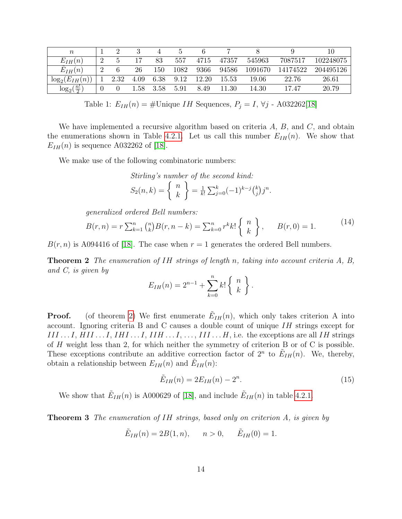| $\boldsymbol{n}$                       |   |      |      |      |      |       |       |         |          | 10        |
|----------------------------------------|---|------|------|------|------|-------|-------|---------|----------|-----------|
| $E_{IH}(n)$                            | റ |      |      | 83   | 557  | 4715  | 47357 | 545963  | 7087517  | 102248075 |
| $E_{IH}(n)$                            | 2 |      | 26   | 150  | 1082 | 9366  | 94586 | 1091670 | 14174522 | 204495126 |
| $E_{IH}$<br>$log_2($<br>$\overline{n}$ |   | 2.32 | 4.09 | 6.38 | 9.12 | 12.20 | 15.53 | 19.06   | 22.76    | 26.61     |
| $\frac{n!}{2}$<br>$log_2($             |   |      | l.58 | 3.58 | 5.91 | 8.49  | .30   | 14.30   | 17.47    | 20.79     |

Table 1:  $E_{IH}(n) = \text{\#Unique } IH$  Sequences,  $P_j = I$ ,  $\forall j$  - A032262[\[18\]](#page-24-9)

We have implemented a recursive algorithm based on criteria  $A, B$ , and  $C$ , and obtain the enumerations shown in Table [4.2.1.](#page-12-0) Let us call this number  $E_{IH}(n)$ . We show that  $E_{IH}(n)$  is sequence A032262 of [\[18\]](#page-24-9).

We make use of the following combinatoric numbers:

Stirling's number of the second kind:  
\n
$$
S_2(n,k) = \begin{cases} n \\ k \end{cases} = \frac{1}{k!} \sum_{j=0}^k (-1)^{k-j} {k \choose j} j^n.
$$

generalized ordered Bell numbers:

<span id="page-13-2"></span>
$$
B(r,n) = r \sum_{k=1}^{n} {n \choose k} B(r,n-k) = \sum_{k=0}^{n} r^{k} k! \begin{Bmatrix} n \\ k \end{Bmatrix}, \qquad B(r,0) = 1.
$$
 (14)

<span id="page-13-0"></span> $B(r, n)$  is A094416 of [\[18\]](#page-24-9). The case when  $r = 1$  generates the ordered Bell numbers.

**Theorem 2** The enumeration of IH strings of length n, taking into account criteria A, B, and C, is given by

$$
E_{IH}(n) = 2^{n-1} + \sum_{k=0}^{n} k! \begin{Bmatrix} n \\ k \end{Bmatrix}.
$$

**Proof.** (of theorem [2\)](#page-13-0) We first enumerate  $\tilde{E}_{IH}(n)$ , which only takes criterion A into account. Ignoring criteria B and C causes a double count of unique IH strings except for  $III...I, HII...I, IHI...I, IIH...I,...I,..., III...H$ , i.e. the exceptions are all IH strings of H weight less than 2, for which neither the symmetry of criterion B or of C is possible. These exceptions contribute an additive correction factor of  $2^n$  to  $\tilde{E}_{IH}(n)$ . We, thereby, obtain a relationship between  $E_{IH}(n)$  and  $\tilde{E}_{IH}(n)$ :

<span id="page-13-3"></span>
$$
\tilde{E}_{IH}(n) = 2E_{IH}(n) - 2^n.
$$
\n(15)

We show that  $\tilde{E}_{IH}(n)$  is A000629 of [\[18\]](#page-24-9), and include  $\tilde{E}_{IH}(n)$  in table [4.2.1.](#page-12-0)

<span id="page-13-1"></span>**Theorem 3** The enumeration of IH strings, based only on criterion A, is given by

$$
\tilde{E}_{IH}(n) = 2B(1, n), \quad n > 0, \quad \tilde{E}_{IH}(0) = 1.
$$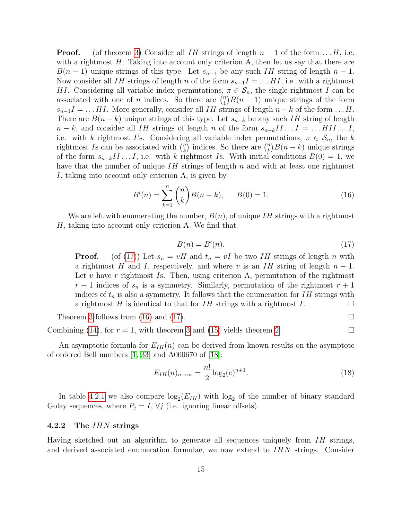**Proof.** (of theorem [3\)](#page-13-1) Consider all IH strings of length  $n-1$  of the form  $\dots$  H, i.e. with a rightmost  $H$ . Taking into account only criterion A, then let us say that there are  $B(n-1)$  unique strings of this type. Let  $s_{n-1}$  be any such IH string of length  $n-1$ . Now consider all IH strings of length n of the form  $s_{n-1}I = \ldots HI$ , i.e. with a rightmost HI. Considering all variable index permutations,  $\pi \in \mathcal{S}_n$ , the single rightmost I can be associated with one of *n* indices. So there are  $\binom{n}{1}$  $\binom{n}{1}B(n-1)$  unique strings of the form  $s_{n-1}I = \ldots HI$ . More generally, consider all IH strings of length  $n-k$  of the form  $\ldots H$ . There are  $B(n-k)$  unique strings of this type. Let  $s_{n-k}$  be any such IH string of length  $n - k$ , and consider all IH strings of length n of the form  $s_{n-k}I I \ldots I = \ldots HII \ldots I$ , i.e. with k rightmost I's. Considering all variable index permutations,  $\pi \in S_n$ , the k rightmost Is can be associated with  $\binom{n}{k}$  $\binom{n}{k}$  indices. So there are  $\binom{n}{k}$  ${k \choose k} B(n-k)$  unique strings of the form  $s_{n-k}I I \ldots I$ , i.e. with k rightmost Is. With initial conditions  $B(0) = 1$ , we have that the number of unique  $IH$  strings of length n and with at least one rightmost I, taking into account only criterion A, is given by

<span id="page-14-1"></span>
$$
B'(n) = \sum_{k=1}^{n} {n \choose k} B(n-k), \qquad B(0) = 1.
$$
 (16)

We are left with enumerating the number,  $B(n)$ , of unique IH strings with a rightmost H, taking into account only criterion A. We find that

<span id="page-14-0"></span>
$$
B(n) = B'(n). \tag{17}
$$

**Proof.** (of [\(17\)](#page-14-0)) Let  $s_n = vH$  and  $t_n = vI$  be two IH strings of length n with a rightmost H and I, respectively, and where v is an IH string of length  $n-1$ . Let v have r rightmost Is. Then, using criterion A, permutation of the rightmost  $r+1$  indices of  $s_n$  is a symmetry. Similarly, permutation of the rightmost  $r+1$ indices of  $t_n$  is also a symmetry. It follows that the enumeration for  $IH$  strings with a rightmost H is identical to that for  $IH$  strings with a rightmost  $I$ .

Theorem [3](#page-13-1) follows from [\(16\)](#page-14-1) and [\(17\)](#page-14-0).

Combining [\(14\)](#page-13-2), for  $r = 1$ , with theorem [3](#page-13-1) and [\(15\)](#page-13-3) yields theorem [2.](#page-13-0)

An asymptotic formula for  $E_{IH}(n)$  can be derived from known results on the asymptote of ordered Bell numbers [\[1,](#page-23-4) [33\]](#page-25-11) and A000670 of [\[18\]](#page-24-9):

$$
E_{IH}(n)_{n \to \infty} = \frac{n!}{2} \log_2(e)^{n+1}.
$$
\n(18)

In table [4.2.1](#page-12-0) we also compare  $\log_2(E_{IH})$  with  $\log_2$  of the number of binary standard Golay sequences, where  $P_j = I$ ,  $\forall j$  (i.e. ignoring linear offsets).

#### <span id="page-14-2"></span>4.2.2 The IHN strings

Having sketched out an algorithm to generate all sequences uniquely from  $IH$  strings, and derived associated enumeration formulae, we now extend to IHN strings. Consider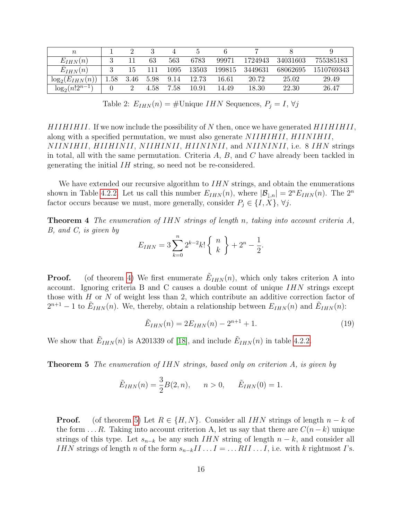| $\it n$                       |          |      |      |      |       |        |         |          |            |
|-------------------------------|----------|------|------|------|-------|--------|---------|----------|------------|
| $E_{IHN}(n)$                  |          |      | 63   | 563  | 6783  | 99971  | 1724943 | 34031603 | 755385183  |
| $E_{IHN}(n)$                  |          | 15   | 111  | 1095 | 13503 | 199815 | 3449631 | 68062695 | 1510769343 |
| $\log_2(E_{IHN}(n))$          | $1.58\,$ | 3.46 | 5.98 | 9.14 | 12.73 | 16.61  | 20.72   | 25.02    | 29.49      |
| $log_2(n!2^{\overline{n-1}})$ |          |      | 4.58 | 7.58 | 10.91 | 14.49  | 18.30   | 22.30    | 26.47      |

Table 2:  $E_{IHN}(n) = \text{\#Unique } IHN$  Sequences,  $P_j = I, \forall j$ 

 $HIIHHII$ . If we now include the possibility of N then, once we have generated  $HIIHHII$ , along with a specified permutation, we must also generate NIIHIHII, HIINIHII, NIINIHII, HIIHINII, NIIHINII, HIININII, and NIININII, i.e. 8 IHN strings in total, all with the same permutation. Criteria  $A, B$ , and  $C$  have already been tackled in generating the initial IH string, so need not be re-considered.

We have extended our recursive algorithm to  $IHN$  strings, and obtain the enumerations shown in Table [4.2.2.](#page-14-2) Let us call this number  $E_{IHN}(n)$ , where  $|\mathcal{B}_{\downarrow,n}| = 2^n E_{IHN}(n)$ . The  $2^n$ factor occurs because we must, more generally, consider  $P_j \in \{I, X\}, \forall j$ .

<span id="page-15-0"></span>**Theorem 4** The enumeration of IHN strings of length n, taking into account criteria A, B, and C, is given by

$$
E_{IHN} = 3 \sum_{k=0}^{n} 2^{k-2} k! \begin{Bmatrix} n \\ k \end{Bmatrix} + 2^{n} - \frac{1}{2}.
$$

**Proof.** (of theorem [4\)](#page-15-0) We first enumerate  $\tilde{E}_{IHN}(n)$ , which only takes criterion A into account. Ignoring criteria B and C causes a double count of unique  $IHN$  strings except those with  $H$  or  $N$  of weight less than 2, which contribute an additive correction factor of  $2^{n+1} - 1$  to  $\tilde{E}_{IHN}(n)$ . We, thereby, obtain a relationship between  $E_{IHN}(n)$  and  $\tilde{E}_{IHN}(n)$ :

<span id="page-15-2"></span>
$$
\tilde{E}_{IHN}(n) = 2E_{IHN}(n) - 2^{n+1} + 1.
$$
\n(19)

We show that  $\tilde{E}_{IHN}(n)$  is A201339 of [\[18\]](#page-24-9), and include  $\tilde{E}_{IHN}(n)$  in table [4.2.2.](#page-14-2)

<span id="page-15-1"></span>**Theorem 5** The enumeration of IHN strings, based only on criterion A, is given by

$$
\tilde{E}_{IHN}(n) = \frac{3}{2}B(2, n), \quad n > 0, \quad \tilde{E}_{IHN}(0) = 1.
$$

**Proof.** (of theorem [5\)](#page-15-1) Let  $R \in \{H, N\}$ . Consider all IHN strings of length  $n - k$  of the form  $\dots R$ . Taking into account criterion A, let us say that there are  $C(n-k)$  unique strings of this type. Let  $s_{n-k}$  be any such IHN string of length  $n - k$ , and consider all *IHN* strings of length n of the form  $s_{n-k}I I \ldots I = \ldots RII \ldots I$ , i.e. with k rightmost *I*'s.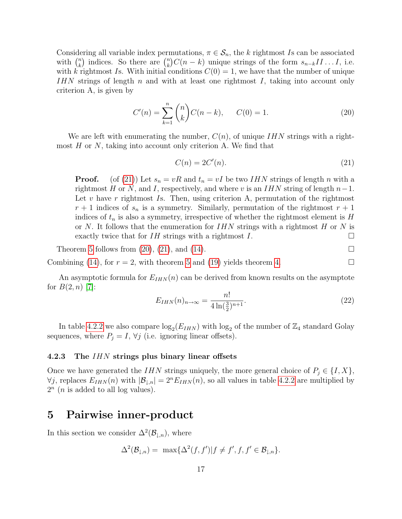Considering all variable index permutations,  $\pi \in S_n$ , the k rightmost Is can be associated with  $\binom{n}{k}$  $\binom{n}{k}$  indices. So there are  $\binom{n}{k}$  $\binom{n}{k}C(n-k)$  unique strings of the form  $s_{n-k}I I \ldots I$ , i.e. with k rightmost Is. With initial conditions  $C(0) = 1$ , we have that the number of unique  $IHN$  strings of length n and with at least one rightmost I, taking into account only criterion A, is given by

<span id="page-16-2"></span>
$$
C'(n) = \sum_{k=1}^{n} {n \choose k} C(n-k), \qquad C(0) = 1.
$$
 (20)

We are left with enumerating the number,  $C(n)$ , of unique IHN strings with a rightmost  $H$  or  $N$ , taking into account only criterion A. We find that

<span id="page-16-1"></span>
$$
C(n) = 2C'(n). \tag{21}
$$

**Proof.** (of [\(21\)](#page-16-1)) Let  $s_n = vR$  and  $t_n = vI$  be two IHN strings of length n with a rightmost H or N, and I, respectively, and where v is an  $IHN$  string of length  $n-1$ . Let v have r rightmost Is. Then, using criterion A, permutation of the rightmost  $r+1$  indices of  $s_n$  is a symmetry. Similarly, permutation of the rightmost  $r+1$ indices of  $t_n$  is also a symmetry, irrespective of whether the rightmost element is  $H$ or N. It follows that the enumeration for  $IHN$  strings with a rightmost H or N is exactly twice that for  $IH$  strings with a rightmost  $I$ .

Theorem [5](#page-15-1) follows from  $(20)$ ,  $(21)$ , and  $(14)$ .

Combining [\(14\)](#page-13-2), for  $r = 2$ , with theorem [5](#page-15-1) and [\(19\)](#page-15-2) yields theorem [4.](#page-15-0)

An asymptotic formula for  $E_{IHN}(n)$  can be derived from known results on the asymptote for  $B(2, n)$  |7|:

$$
E_{IHN}(n)_{n \to \infty} = \frac{n!}{4 \ln(\frac{3}{2})^{n+1}}.
$$
\n(22)

In table [4.2.2](#page-14-2) we also compare  $\log_2(E_{IHN})$  with  $\log_2$  of the number of  $\mathbb{Z}_4$  standard Golay sequences, where  $P_j = I$ ,  $\forall j$  (i.e. ignoring linear offsets).

#### 4.2.3 The IHN strings plus binary linear offsets

Once we have generated the IHN strings uniquely, the more general choice of  $P_j \in \{I, X\}$ ,  $\forall j$ , replaces  $E_{IHN}(n)$  with  $|\mathcal{B}_{\downarrow,n}| = 2^n E_{IHN}(n)$ , so all values in table [4.2.2](#page-14-2) are multiplied by  $2<sup>n</sup>$  (*n* is added to all log values).

### <span id="page-16-0"></span>5 Pairwise inner-product

In this section we consider  $\Delta^2(\mathcal{B}_{\downarrow,n})$ , where

$$
\Delta^2(\mathcal{B}_{\downarrow,n}) = \max{\Delta^2(f,f') | f \neq f', f, f' \in \mathcal{B}_{\downarrow,n}}.
$$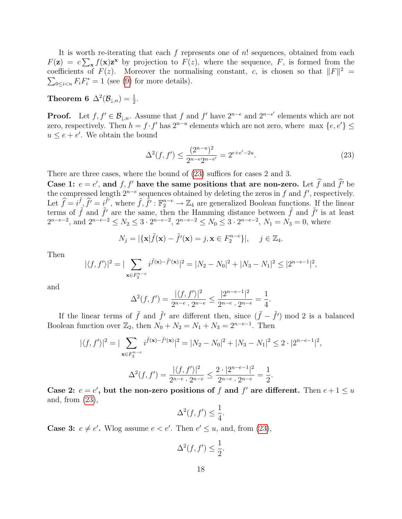It is worth re-iterating that each f represents one of  $n!$  sequences, obtained from each  $F(\mathbf{z}) = c \sum_{\mathbf{x}} f(\mathbf{x}) \mathbf{z}^{\mathbf{x}}$  by projection to  $F(z)$ , where the sequence, F, is formed from the coefficients of  $F(z)$ . Moreover the normalising constant, c, is chosen so that  $||F||^2 =$  $\sum_{0 \leq i < n} F_i F_i^* = 1$  (see [\(9\)](#page-9-1) for more details).

Theorem 6  $\Delta^2(\mathcal{B}_{\downarrow,n}) = \frac{1}{2}$ .

**Proof.** Let  $f, f' \in \mathcal{B}_{\downarrow,n}$ . Assume that f and f' have  $2^{n-e}$  and  $2^{n-e'}$  elements which are not zero, respectively. Then  $h = f \cdot f'$  has  $2^{n-u}$  elements which are not zero, where max  $\{e, e'\} \le$  $u \leq e + e'$ . We obtain the bound

<span id="page-17-0"></span>
$$
\Delta^2(f, f') \le \frac{(2^{n-u})^2}{2^{n-e}2^{n-e'}} = 2^{e+e'-2u}.\tag{23}
$$

There are three cases, where the bound of [\(23\)](#page-17-0) suffices for cases 2 and 3.

Case 1:  $e = e'$ , and  $f, f'$  have the same positions that are non-zero. Let  $\hat{f}$  and  $\hat{f}'$  be the compressed length  $2^{n-e}$  sequences obtained by deleting the zeros in f and f', respectively. Let  $\hat{f} = i \hat{f}, \hat{f'} = i \hat{f'},$  where  $\tilde{f}, \hat{f'} : \mathbb{F}_2^{n-e} \to \mathbb{Z}_4$  are generalized Boolean functions. If the linear terms of  $\tilde{f}$  and  $\tilde{f}'$  are the same, then the Hamming distance between  $\tilde{f}$  and  $\tilde{f}'$  is at least  $2^{n-e-2}$ , and  $2^{n-e-2} \le N_2 \le 3 \cdot 2^{n-e-2}$ ,  $2^{n-e-2} \le N_0 \le 3 \cdot 2^{n-e-2}$ ,  $N_1 = N_3 = 0$ , where

$$
N_j = |\{\mathbf{x}|\tilde{f}(\mathbf{x}) - \tilde{f}'(\mathbf{x}) = j, \mathbf{x} \in F_2^{n-e}\}|, \quad j \in \mathbb{Z}_4.
$$

Then

$$
|\langle f, f' \rangle|^2 = |\sum_{\mathbf{x} \in F_2^{n-e}} i^{\tilde{f}(\mathbf{x}) - \tilde{f}'(\mathbf{x})}|^2 = |N_2 - N_0|^2 + |N_3 - N_1|^2 \le |2^{n-e-1}|^2,
$$

and

$$
\Delta^{2}(f, f') = \frac{|\langle f, f' \rangle|^{2}}{2^{n-\epsilon} \cdot 2^{n-\epsilon}} \le \frac{|2^{n-\epsilon-1}|^{2}}{2^{n-\epsilon} \cdot 2^{n-\epsilon}} = \frac{1}{4}.
$$

If the linear terms of  $\tilde{f}$  and  $\tilde{f}'$  are different then, since  $(\tilde{f} - \tilde{f}')$  mod 2 is a balanced Boolean function over  $\mathbb{Z}_2$ , then  $N_0 + N_2 = N_1 + N_3 = 2^{n-e-1}$ . Then

$$
|\langle f, f' \rangle|^2 = |\sum_{\mathbf{x} \in F_2^{n-e}} i^{\tilde{f}(\mathbf{x}) - \tilde{f}'(\mathbf{x})}|^2 = |N_2 - N_0|^2 + |N_3 - N_1|^2 \le 2 \cdot |2^{n-e-1}|^2,
$$
  

$$
\Delta^2(f, f') = \frac{|\langle f, f' \rangle|^2}{2^{n-e} \cdot 2^{n-e}} \le \frac{2 \cdot |2^{n-e-1}|^2}{2^{n-e} \cdot 2^{n-e}} = \frac{1}{2}.
$$

Case 2:  $e = e'$ , but the non-zero positions of f and f' are different. Then  $e + 1 \leq u$ and, from [\(23\)](#page-17-0),

$$
\Delta^2(f, f') \le \frac{1}{4}.
$$

**Case 3:**  $e \neq e'$ . Wlog assume  $e < e'$ . Then  $e' \leq u$ , and, from [\(23\)](#page-17-0),

$$
\Delta^2(f, f') \le \frac{1}{2}.
$$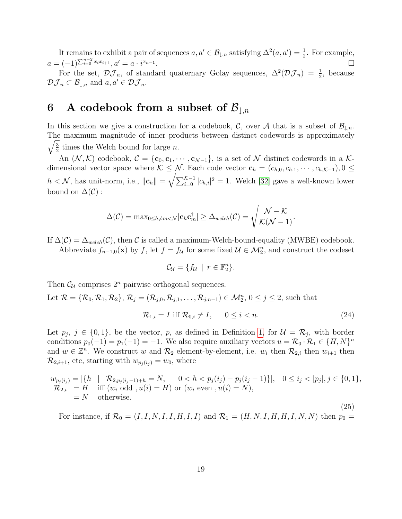It remains to exhibit a pair of sequences  $a, a' \in \mathcal{B}_{\downarrow,n}$  satisfying  $\Delta^2(a, a') = \frac{1}{2}$ . For example,  $a = (-1)^{\sum_{i=0}^{n-2} x_i x_{i+1}}, a' = a \cdot i^{x_{n-1}}$ . В последните поставите на селото на селото на селото на селото на селото на селото на селото на селото на се<br>Селото на селото на селото на селото на селото на селото на селото на селото на селото на селото на селото на

For the set,  $\mathcal{DJ}_n$ , of standard quaternary Golay sequences,  $\Delta^2(\mathcal{DJ}_n) = \frac{1}{2}$ , because  $\mathcal{DJ}_n \subset \mathcal{B}_{\mathbf{\perp},n}$  and  $a, a' \in \mathcal{DJ}_n$ .

# <span id="page-18-0"></span>6 A codebook from a subset of  $\mathcal{B}_{\downarrow,n}$

In this section we give a construction for a codebook, C, over A that is a subset of  $\mathcal{B}_{\perp n}$ . The maximum magnitude of inner products between distinct codewords is approximately  $\sqrt{3}$  $\frac{3}{2}$  times the Welch bound for large *n*.

An  $(\mathcal{N}, \mathcal{K})$  codebook,  $\mathcal{C} = {\mathbf{c}_0, \mathbf{c}_1, \cdots, \mathbf{c}_{\mathcal{N}-1}}$ , is a set of  $\mathcal{N}$  distinct codewords in a  $\mathcal{K}$ dimensional vector space where  $K \leq \mathcal{N}$ . Each code vector  $\mathbf{c}_h = (c_{h,0}, c_{h,1}, \cdots, c_{h,\mathcal{K}-1}), 0 \leq$  $h < N$ , has unit-norm, i.e.,  $\|\mathbf{c}_h\| = \sqrt{\sum_{i=0}^{\mathcal{K}-1} |c_{h,i}|^2} = 1$ . Welch [\[32\]](#page-25-8) gave a well-known lower bound on  $\Delta(\mathcal{C})$  :

$$
\Delta(\mathcal{C}) = \mathrm{max}_{0 \leq h \neq m < \mathcal{N}} |\mathbf{c}_h \mathbf{c}_m^\dagger| \geq \Delta_{\mathit{welch}}(\mathcal{C}) = \sqrt{\frac{\mathcal{N} - \mathcal{K}}{\mathcal{K}(\mathcal{N} - 1)}}.
$$

If  $\Delta(\mathcal{C}) = \Delta_{\text{welch}}(\mathcal{C})$ , then C is called a maximum-Welch-bound-equality (MWBE) codebook.

Abbreviate  $f_{n-1,0}(\mathbf{x})$  by f, let  $f = f_{\mathcal{U}}$  for some fixed  $\mathcal{U} \in \mathcal{M}_2^n$ , and construct the codeset

$$
\mathcal{C}_{\mathcal{U}} = \{ f_{\mathcal{U}} \mid r \in \mathbb{F}_2^n \}.
$$

Then  $\mathcal{C}_U$  comprises  $2^n$  pairwise orthogonal sequences.

Let  $\mathcal{R} = {\mathcal{R}_0, \mathcal{R}_1, \mathcal{R}_2}, \mathcal{R}_j = (\mathcal{R}_{j,0}, \mathcal{R}_{j,1}, \dots, \mathcal{R}_{j,n-1}) \in \mathcal{M}_2^n, 0 \le j \le 2$ , such that

<span id="page-18-1"></span>
$$
\mathcal{R}_{1,i} = I \text{ iff } \mathcal{R}_{0,i} \neq I, \qquad 0 \le i < n. \tag{24}
$$

Let  $p_j, j \in \{0,1\}$ , be the vector, p, as defined in Definition [1,](#page-8-2) for  $\mathcal{U} = \mathcal{R}_j$ , with border conditions  $p_0(-1) = p_1(-1) = -1$ . We also require auxiliary vectors  $u = \mathcal{R}_0 \cdot \mathcal{R}_1 \in \{H, N\}^n$ and  $w \in \mathbb{Z}^n$ . We construct w and  $\mathcal{R}_2$  element-by-element, i.e.  $w_i$  then  $\mathcal{R}_{2,i}$  then  $w_{i+1}$  then  $\mathcal{R}_{2,i+1}$ , etc, starting with  $w_{p_i(i_j)} = w_0$ , where

<span id="page-18-2"></span>
$$
w_{p_j(i_j)} = |\{h \mid \mathcal{R}_{2,p_j(i_j-1)+h} = N, \quad 0 < h < p_j(i_j) - p_j(i_j-1)\}|, \quad 0 \le i_j < |p_j|, j \in \{0, 1\},
$$
\n
$$
\mathcal{R}_{2,i} = H \quad \text{iff} \quad (w_i \text{ odd}, u(i) = H) \text{ or } (w_i \text{ even}, u(i) = N),
$$
\n
$$
= N \quad \text{otherwise.}
$$
\n
$$
(25)
$$

For instance, if  $\mathcal{R}_0 = (I, I, N, I, I, H, I, I)$  and  $\mathcal{R}_1 = (H, N, I, H, H, I, N, N)$  then  $p_0 =$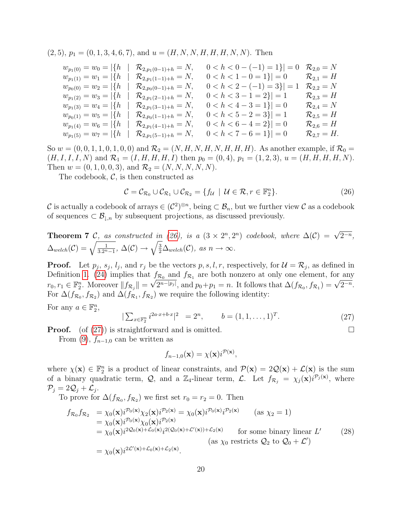$(2, 5), p_1 = (0, 1, 3, 4, 6, 7), \text{ and } u = (H, N, N, H, H, H, N, N).$  Then

| $w_{p_1(0)} = w_0 =  \{h$    | $\mathcal{R}_{2,p_1(0-1)+h} = N,$ | $0 < h < 0 - (-1) = 1$ } = 0 | $\mathcal{R}_{2,0}=N$    |
|------------------------------|-----------------------------------|------------------------------|--------------------------|
| $w_{p_1(1)} = w_1 =  \{h\} $ | $\mathcal{R}_{2,p_1(1-1)+h} = N,$ | $0 < h < 1 - 0 = 1$ } $= 0$  | $\mathcal{R}_{2,1} = H$  |
| $w_{p_0(0)} = w_2 =  \{h\} $ | $\mathcal{R}_{2,p_0(0-1)+h} = N,$ | $0 < h < 2 - (-1) = 3$ } = 1 | $\mathcal{R}_{2,2}=N$    |
| $w_{p_1(2)} = w_3 =  \{h\} $ | $\mathcal{R}_{2,p_1(2-1)+h} = N,$ | $0 < h < 3 - 1 = 2$ } = 1    | $\mathcal{R}_{2,3} = H$  |
| $w_{p_1(3)} = w_4 =  \{h$    | $\mathcal{R}_{2,p_1(3-1)+h} = N,$ | $0 < h < 4 - 3 = 1$ } $= 0$  | $\mathcal{R}_{2,4}=N$    |
| $w_{p_0(1)} = w_5 =  \{h\} $ | $\mathcal{R}_{2,p_0(1-1)+h} = N,$ | $0 < h < 5 - 2 = 3$ } = 1    | $\mathcal{R}_{2.5} = H$  |
| $w_{p_1(4)} = w_6 =  \{h$    | $\mathcal{R}_{2,p_1(4-1)+h} = N,$ | $0 < h < 6 - 4 = 2$ } = 0    | $\mathcal{R}_{2.6} = H$  |
| $w_{p_1(5)} = w_7 =  \{h$    | $\mathcal{R}_{2,p_1(5-1)+h} = N,$ | $0 < h < 7 - 6 = 1$ } $= 0$  | $\mathcal{R}_{2.7} = H.$ |

So  $w = (0, 0, 1, 1, 0, 1, 0, 0)$  and  $\mathcal{R}_2 = (N, H, N, H, N, H, H, H)$ . As another example, if  $\mathcal{R}_0 =$  $(H, I, I, I, N)$  and  $\mathcal{R}_1 = (I, H, H, H, I)$  then  $p_0 = (0, 4), p_1 = (1, 2, 3), u = (H, H, H, H, N)$ . Then  $w = (0, 1, 0, 0, 3)$ , and  $\mathcal{R}_2 = (N, N, N, N, N)$ .

The codebook,  $\mathcal{C}$ , is then constructed as

<span id="page-19-0"></span>
$$
\mathcal{C} = \mathcal{C}_{\mathcal{R}_0} \cup \mathcal{C}_{\mathcal{R}_1} \cup \mathcal{C}_{\mathcal{R}_2} = \{ f_u \mid \mathcal{U} \in \mathcal{R}, r \in \mathbb{F}_2^n \}. \tag{26}
$$

C is actually a codebook of arrays  $\in (C^2)^{\otimes n}$ , being  $\subset \mathcal{B}_n$ , but we further view C as a codebook of sequences  $\subset \mathcal{B}_{\perp,n}$  by subsequent projections, as discussed previously.

**Theorem 7** C, as constructed in (26), is a 
$$
(3 \times 2^n, 2^n)
$$
 codebook, where  $\Delta(C) = \sqrt{2^{-n}}$ ,  
 $\Delta_{\text{weleh}}(C) = \sqrt{\frac{1}{3 \cdot 2^{n}-1}}, \Delta(C) \rightarrow \sqrt{\frac{3}{2}} \Delta_{\text{weleh}}(C)$ , as  $n \rightarrow \infty$ .

**Proof.** Let  $p_j$ ,  $s_j$ ,  $l_j$ , and  $r_j$  be the vectors  $p$ ,  $s$ ,  $l$ ,  $r$ , respectively, for  $\mathcal{U} = \mathcal{R}_j$ , as defined in Definition [1.](#page-8-2) [\(24\)](#page-18-1) implies that  $f_{\mathcal{R}_0}$  and  $f_{\mathcal{R}_1}$  are both nonzero at only one element, for any Definition 1. (24) implies that  $f_{\mathcal{R}_0}$  and  $f_{\mathcal{R}_1}$  are both honzero at only one element, for any  $r_0, r_1 \in \mathbb{F}_2^n$ . Moreover  $||f_{\mathcal{R}_j}|| = \sqrt{2^{n-|p_j|}}$ , and  $p_0 + p_1 = n$ . It follows that  $\Delta(f_{\mathcal{R}_0}, f_{\mathcal{R}_$ For  $\Delta(f_{\mathcal{R}_0}, f_{\mathcal{R}_2})$  and  $\Delta(f_{\mathcal{R}_1}, f_{\mathcal{R}_2})$  we require the following identity:

For any  $a \in \mathbb{F}_2^n$ ,

<span id="page-19-1"></span>
$$
|\sum_{x \in \mathbb{F}_2^n} i^{2a \cdot x + b \cdot x}|^2 = 2^n, \qquad b = (1, 1, \dots, 1)^T.
$$
 (27)

**Proof.** (of [\(27\)](#page-19-1)) is straightforward and is omitted.  $\square$ 

From [\(9\)](#page-9-1),  $f_{n-1,0}$  can be written as

$$
f_{n-1,0}(\mathbf{x}) = \chi(\mathbf{x})i^{\mathcal{P}(\mathbf{x})},
$$

where  $\chi(\mathbf{x}) \in \mathbb{F}_2^n$  is a product of linear constraints, and  $\mathcal{P}(\mathbf{x}) = 2\mathcal{Q}(\mathbf{x}) + \mathcal{L}(\mathbf{x})$  is the sum of a binary quadratic term,  $\mathcal{Q}$ , and a  $\mathbb{Z}_4$ -linear term,  $\mathcal{L}$ . Let  $f_{\mathcal{R}_j} = \chi_j(\mathbf{x})i^{\mathcal{P}_j(\mathbf{x})}$ , where  $\mathcal{P}_j = 2\mathcal{Q}_j + \mathcal{L}_j.$ 

To prove for  $\Delta(f_{\mathcal{R}_0}, f_{\mathcal{R}_2})$  we first set  $r_0 = r_2 = 0$ . Then

<span id="page-19-2"></span>
$$
f_{\mathcal{R}_0} f_{\mathcal{R}_2} = \chi_0(\mathbf{x}) i^{\mathcal{P}_0(\mathbf{x})} \chi_2(\mathbf{x}) i^{\mathcal{P}_2(\mathbf{x})} = \chi_0(\mathbf{x}) i^{\mathcal{P}_0(\mathbf{x})} i^{\mathcal{P}_2(\mathbf{x})} \qquad \text{(as } \chi_2 = 1)
$$
  
\n
$$
= \chi_0(\mathbf{x}) i^{\mathcal{P}_0(\mathbf{x})} \chi_0(\mathbf{x}) i^{\mathcal{P}_2(\mathbf{x})}
$$
  
\n
$$
= \chi_0(\mathbf{x}) i^{2\mathcal{Q}_0(\mathbf{x}) + \mathcal{L}_0(\mathbf{x})} i^{2(\mathcal{Q}_0(\mathbf{x}) + \mathcal{L}'(\mathbf{x})) + \mathcal{L}_2(\mathbf{x})} \qquad \text{(as } \chi_0 \text{ restricts } \mathcal{Q}_2 \text{ to } \mathcal{Q}_0 + \mathcal{L}')
$$
  
\n
$$
= \chi_0(\mathbf{x}) i^{2\mathcal{L}'(\mathbf{x}) + \mathcal{L}_0(\mathbf{x}) + \mathcal{L}_2(\mathbf{x})}.
$$
  
\n(28)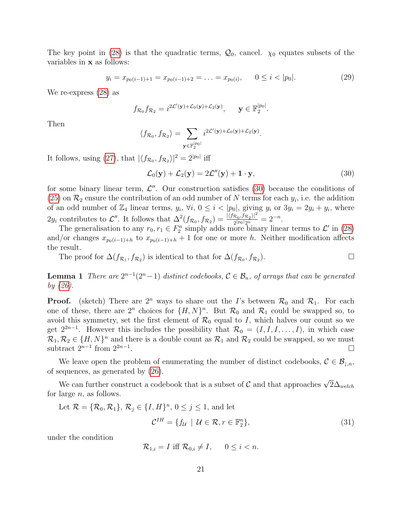The key point in [\(28\)](#page-19-2) is that the quadratic terms,  $\mathcal{Q}_0$ , cancel.  $\chi_0$  equates subsets of the variables in x as follows:

$$
y_i = x_{p_0(i-1)+1} = x_{p_0(i-1)+2} = \ldots = x_{p_0(i)}, \qquad 0 \le i < |p_0|.\tag{29}
$$

We re-express [\(28\)](#page-19-2) as

$$
f_{\mathcal{R}_0} f_{\mathcal{R}_2} = i^{2\mathcal{L}'(\mathbf{y}) + \mathcal{L}_0(\mathbf{y}) + \mathcal{L}_2(\mathbf{y})}, \quad \mathbf{y} \in \mathbb{F}_2^{|p_0|}
$$

Then

$$
\langle f_{\mathcal{R}_0}, f_{\mathcal{R}_2} \rangle = \sum_{\mathbf{y} \in \mathbb{F}_2^{|p_0|}} i^{2\mathcal{L}'(\mathbf{y}) + \mathcal{L}_0(\mathbf{y}) + \mathcal{L}_2(\mathbf{y})}.
$$

It follows, using [\(27\)](#page-19-1), that  $|\langle f_{\mathcal{R}_0}, f_{\mathcal{R}_2} \rangle|^2 = 2^{|p_0|}$  iff

<span id="page-20-0"></span>
$$
\mathcal{L}_0(\mathbf{y}) + \mathcal{L}_2(\mathbf{y}) = 2\mathcal{L}''(\mathbf{y}) + \mathbf{1} \cdot \mathbf{y},\tag{30}
$$

.

for some binary linear term,  $\mathcal{L}''$ . Our construction satisfies [\(30\)](#page-20-0) because the conditions of [\(25\)](#page-18-2) on  $\mathcal{R}_2$  ensure the contribution of an odd number of N terms for each  $y_i$ , i.e. the addition of an odd number of  $\mathbb{Z}_4$  linear terms,  $y_i$ ,  $\forall i$ ,  $0 \leq i < |p_0|$ , giving  $y_i$  or  $3y_i = 2y_i + y_i$ , where  $2y_i$  contributes to  $\mathcal{L}''$ . It follows that  $\Delta^2(f_{\mathcal{R}_0},f_{\mathcal{R}_2})=\frac{|\langle f_{\mathcal{R}_0},f_{\mathcal{R}_2}\rangle|^2}{2^{|p_0|}2^n}$  $\frac{\mathcal{R}_0 J \mathcal{R}_2 l^2}{2^{|p_0|} 2^n} = 2^{-n}.$ 

The generalisation to any  $r_0, r_1 \in F_2^n$  simply adds more binary linear terms to  $\mathcal{L}'$  in [\(28\)](#page-19-2) and/or changes  $x_{p_0(i-1)+h}$  to  $x_{p_0(i-1)+h}$  + 1 for one or more h. Neither modification affects the result.

The proof for  $\Delta(f_{\mathcal{R}_1}, f_{\mathcal{R}_2})$  is identical to that for  $\Delta(f_{\mathcal{R}_0}, f_{\mathcal{R}_2})$  $\Box$ 

**Lemma 1** There are  $2^{n-1}(2^n-1)$  distinct codebooks,  $C \in \mathcal{B}_n$ , of arrays that can be generated by [\(26\)](#page-19-0).

**Proof.** (sketch) There are  $2^n$  ways to share out the I's between  $\mathcal{R}_0$  and  $\mathcal{R}_1$ . For each one of these, there are  $2^n$  choices for  $\{H, N\}^n$ . But  $\mathcal{R}_0$  and  $\mathcal{R}_1$  could be swapped so, to avoid this symmetry, set the first element of  $\mathcal{R}_0$  equal to I, which halves our count so we get  $2^{2n-1}$ . However this includes the possibility that  $\mathcal{R}_0 = (I, I, I, \ldots, I)$ , in which case  $\mathcal{R}_1, \mathcal{R}_2 \in \{H, N\}^n$  and there is a double count as  $\mathcal{R}_1$  and  $\mathcal{R}_2$  could be swapped, so we must subtract  $2^{n-1}$  from  $2^{2n-1}$ .

We leave open the problem of enumerating the number of distinct codebooks,  $C \in \mathcal{B}_{\perp,n}$ , of sequences, as generated by [\(26\)](#page-19-0).

We can further construct a codebook that is a subset of C and that approaches  $\sqrt{2}\Delta_{\text{welch}}$ for large  $n$ , as follows.

Let 
$$
\mathcal{R} = \{\mathcal{R}_0, \mathcal{R}_1\}, \mathcal{R}_j \in \{I, H\}^n, 0 \le j \le 1
$$
, and let  

$$
\mathcal{C}^{IH} = \{f_{\mathcal{U}} \mid \mathcal{U} \in \mathcal{R}, r \in \mathbb{F}_2^n\},
$$
(31)

under the condition

$$
\mathcal{R}_{1,i} = I \text{ iff } \mathcal{R}_{0,i} \neq I, \qquad 0 \leq i < n.
$$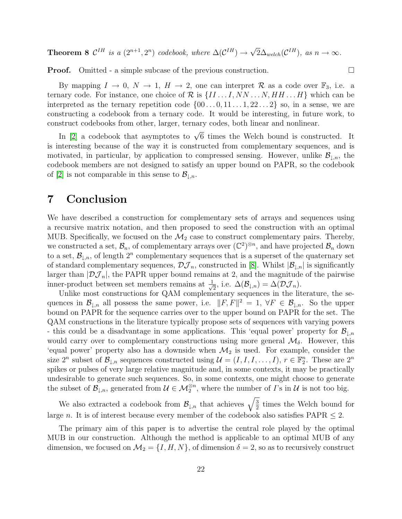**Theorem 8**  $\mathcal{C}^{IH}$  is a  $(2^{n+1}, 2^n)$  codebook, where  $\Delta(\mathcal{C}^{IH}) \rightarrow$ √  $\overline{2}\Delta_{\text{welch}}(\mathcal{C}^{IH}), \text{ as } n \to \infty.$ 

**Proof.** Omitted - a simple subcase of the previous construction.

By mapping  $I \to 0$ ,  $N \to 1$ ,  $H \to 2$ , one can interpret R as a code over  $\mathbb{F}_3$ , i.e. a ternary code. For instance, one choice of  $\mathcal{R}$  is  $\{II \dots I, NN \dots N, HH \dots H\}$  which can be interpreted as the ternary repetition code  $\{00...0, 11...1, 22...2\}$  so, in a sense, we are constructing a codebook from a ternary code. It would be interesting, in future work, to construct codebooks from other, larger, ternary codes, both linear and nonlinear.

In [\[2\]](#page-23-6) a codebook that asymptotes to  $\sqrt{6}$  times the Welch bound is constructed. It is interesting because of the way it is constructed from complementary sequences, and is motivated, in particular, by application to compressed sensing. However, unlike  $\mathcal{B}_{\perp n}$ , the codebook members are not designed to satisfy an upper bound on PAPR, so the codebook of [\[2\]](#page-23-6) is not comparable in this sense to  $\mathcal{B}_{\perp n}$ .

### <span id="page-21-0"></span>7 Conclusion

We have described a construction for complementary sets of arrays and sequences using a recursive matrix notation, and then proposed to seed the construction with an optimal MUB. Specifically, we focused on the  $\mathcal{M}_2$  case to construct complementary pairs. Thereby, we constructed a set,  $\mathcal{B}_n$ , of complementary arrays over  $(\mathbb{C}^2)^{\otimes n}$ , and have projected  $\mathcal{B}_n$  down to a set,  $\mathcal{B}_{\downarrow,n}$ , of length  $2^n$  complementary sequences that is a superset of the quaternary set of standard complementary sequences,  $\mathcal{DJ}_n$ , constructed in [\[8\]](#page-24-1). Whilst  $|\mathcal{B}_{\downarrow,n}|$  is significantly larger than  $|\mathcal{DI}_n|$ , the PAPR upper bound remains at 2, and the magnitude of the pairwise inner-product between set members remains at  $\frac{1}{\sqrt{2}}$  $\frac{1}{2}$ , i.e.  $\Delta(\mathcal{B}_{\downarrow,n}) = \Delta(\mathcal{DJ}_n)$ .

Unlike most constructions for QAM complementary sequences in the literature, the sequences in  $\mathcal{B}_{\downarrow,n}$  all possess the same power, i.e.  $||F, F||^2 = 1$ ,  $\forall F \in \mathcal{B}_{\downarrow,n}$ . So the upper bound on PAPR for the sequence carries over to the upper bound on PAPR for the set. The QAM constructions in the literature typically propose sets of sequences with varying powers - this could be a disadvantage in some applications. This 'equal power' property for  $\mathcal{B}_{\downarrow,n}$ would carry over to complementary constructions using more general  $\mathcal{M}_{\delta}$ . However, this 'equal power' property also has a downside when  $\mathcal{M}_2$  is used. For example, consider the size  $2^n$  subset of  $\mathcal{B}_{\downarrow,n}$  sequences constructed using  $\mathcal{U} = (I, I, I, \ldots, I), r \in \mathbb{F}_2^n$ . These are  $2^n$ spikes or pulses of very large relative magnitude and, in some contexts, it may be practically undesirable to generate such sequences. So, in some contexts, one might choose to generate the subset of  $\mathcal{B}_{\downarrow,n}$ , generated from  $\mathcal{U} \in \mathcal{M}_2^{\otimes n}$ , where the number of *I*'s in  $\mathcal{U}$  is not too big.

We also extracted a codebook from  $\mathcal{B}_{\downarrow,n}$  that achieves  $\sqrt{\frac{3}{2}}$  $\frac{3}{2}$  times the Welch bound for large *n*. It is of interest because every member of the codebook also satisfies  $PAPR < 2$ .

The primary aim of this paper is to advertise the central role played by the optimal MUB in our construction. Although the method is applicable to an optimal MUB of any dimension, we focused on  $\mathcal{M}_2 = \{I, H, N\}$ , of dimension  $\delta = 2$ , so as to recursively construct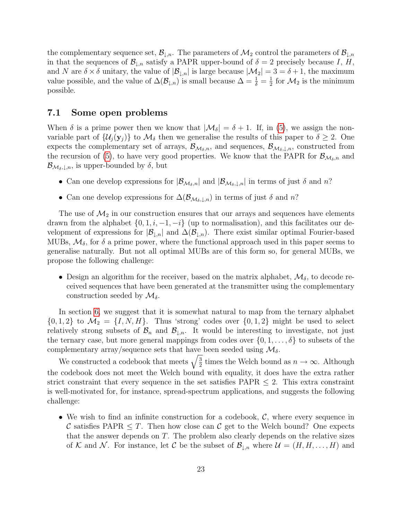the complementary sequence set,  $\mathcal{B}_{\downarrow,n}$ . The parameters of  $\mathcal{M}_2$  control the parameters of  $\mathcal{B}_{\downarrow,n}$ in that the sequences of  $\mathcal{B}_{\downarrow,n}$  satisfy a PAPR upper-bound of  $\delta = 2$  precisely because I, H, and N are  $\delta \times \delta$  unitary, the value of  $|\mathcal{B}_{\ell,n}|$  is large because  $|\mathcal{M}_2| = 3 = \delta + 1$ , the maximum value possible, and the value of  $\Delta(\mathcal{B}_{\downarrow,n})$  is small because  $\Delta = \frac{1}{\delta} = \frac{1}{2}$  $\frac{1}{2}$  for  $\mathcal{M}_2$  is the minimum possible.

#### 7.1 Some open problems

When  $\delta$  is a prime power then we know that  $|\mathcal{M}_{\delta}| = \delta + 1$ . If, in [\(5\)](#page-5-3), we assign the nonvariable part of  $\{\mathcal{U}_i(\mathbf{y}_i)\}\)$  to  $\mathcal{M}_\delta$  then we generalise the results of this paper to  $\delta \geq 2$ . One expects the complementary set of arrays,  $\mathcal{B}_{\mathcal{M}_{\delta},n}$ , and sequences,  $\mathcal{B}_{\mathcal{M}_{\delta},\downarrow,n}$ , constructed from the recursion of [\(5\)](#page-5-3), to have very good properties. We know that the PAPR for  $\mathcal{B}_{\mathcal{M}_{\delta,n}}$  and  $\mathcal{B}_{\mathcal{M}_{\delta},\downarrow,n}$ , is upper-bounded by  $\delta$ , but

- Can one develop expressions for  $|\mathcal{B}_{\mathcal{M}_{\delta},n}|$  and  $|\mathcal{B}_{\mathcal{M}_{\delta},\downarrow,n}|$  in terms of just  $\delta$  and  $n$ ?
- Can one develop expressions for  $\Delta(\mathcal{B}_{\mathcal{M}_{\delta},\downarrow,n})$  in terms of just  $\delta$  and  $n$ ?

The use of  $\mathcal{M}_2$  in our construction ensures that our arrays and sequences have elements drawn from the alphabet  $\{0, 1, i, -1, -i\}$  (up to normalisation), and this facilitates our development of expressions for  $|\mathcal{B}_{\perp,n}|$  and  $\Delta(\mathcal{B}_{\perp,n})$ . There exist similar optimal Fourier-based MUBs,  $\mathcal{M}_{\delta}$ , for  $\delta$  a prime power, where the functional approach used in this paper seems to generalise naturally. But not all optimal MUBs are of this form so, for general MUBs, we propose the following challenge:

• Design an algorithm for the receiver, based on the matrix alphabet,  $\mathcal{M}_{\delta}$ , to decode received sequences that have been generated at the transmitter using the complementary construction seeded by  $\mathcal{M}_{\delta}$ .

In section [6,](#page-18-0) we suggest that it is somewhat natural to map from the ternary alphabet  $\{0, 1, 2\}$  to  $\mathcal{M}_2 = \{I, N, H\}$ . Thus 'strong' codes over  $\{0, 1, 2\}$  might be used to select relatively strong subsets of  $\mathcal{B}_n$  and  $\mathcal{B}_{\downarrow,n}$ . It would be interesting to investigate, not just the ternary case, but more general mappings from codes over  $\{0, 1, \ldots, \delta\}$  to subsets of the complementary array/sequence sets that have been seeded using  $\mathcal{M}_{\delta}$ .

We constructed a codebook that meets  $\sqrt{\frac{3}{2}}$  $\frac{3}{2}$  times the Welch bound as  $n \to \infty$ . Although the codebook does not meet the Welch bound with equality, it does have the extra rather strict constraint that every sequence in the set satisfies  $PAPR \leq 2$ . This extra constraint is well-motivated for, for instance, spread-spectrum applications, and suggests the following challenge:

• We wish to find an infinite construction for a codebook,  $\mathcal{C}$ , where every sequence in C satisfies PAPR  $\leq T$ . Then how close can C get to the Welch bound? One expects that the answer depends on T. The problem also clearly depends on the relative sizes of K and N. For instance, let C be the subset of  $\mathcal{B}_{\ell,n}$  where  $\mathcal{U} = (H, H, \ldots, H)$  and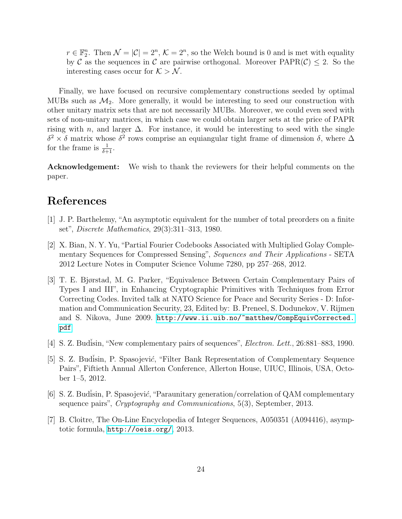$r \in \mathbb{F}_2^n$ . Then  $\mathcal{N} = |\mathcal{C}| = 2^n$ ,  $\mathcal{K} = 2^n$ , so the Welch bound is 0 and is met with equality by C as the sequences in C are pairwise orthogonal. Moreover  $\text{PAPR}(\mathcal{C}) \leq 2$ . So the interesting cases occur for  $K > N$ .

Finally, we have focused on recursive complementary constructions seeded by optimal MUBs such as  $\mathcal{M}_2$ . More generally, it would be interesting to seed our construction with other unitary matrix sets that are not necessarily MUBs. Moreover, we could even seed with sets of non-unitary matrices, in which case we could obtain larger sets at the price of PAPR rising with n, and larger  $\Delta$ . For instance, it would be interesting to seed with the single  $\delta^2 \times \delta$  matrix whose  $\delta^2$  rows comprise an equiangular tight frame of dimension δ, where  $\Delta$ for the frame is  $\frac{1}{\delta+1}$ .

Acknowledgement: We wish to thank the reviewers for their helpful comments on the paper.

# References

- <span id="page-23-4"></span>[1] J. P. Barthelemy, "An asymptotic equivalent for the number of total preorders on a finite set", Discrete Mathematics, 29(3):311–313, 1980.
- <span id="page-23-6"></span>[2] X. Bian, N. Y. Yu, "Partial Fourier Codebooks Associated with Multiplied Golay Complementary Sequences for Compressed Sensing", Sequences and Their Applications - SETA 2012 Lecture Notes in Computer Science Volume 7280, pp 257–268, 2012.
- <span id="page-23-1"></span>[3] T. E. Bjørstad, M. G. Parker, "Equivalence Between Certain Complementary Pairs of Types I and III", in Enhancing Cryptographic Primitives with Techniques from Error Correcting Codes. Invited talk at NATO Science for Peace and Security Series - D: Information and Communication Security, 23, Edited by: B. Preneel, S. Dodunekov, V. Rijmen and S. Nikova, June 2009. [http://www.ii.uib.no/~matthew/CompEquivCorrected.](http://www.ii.uib.no/~matthew/CompEquivCorrected.pdf) [pdf](http://www.ii.uib.no/~matthew/CompEquivCorrected.pdf)
- <span id="page-23-0"></span>[4] S. Z. Budisin, "New complementary pairs of sequences", *Electron. Lett.*, 26:881–883, 1990.
- <span id="page-23-2"></span>[5] S. Z. Budisin, P. Spasojević, "Filter Bank Representation of Complementary Sequence Pairs", Fiftieth Annual Allerton Conference, Allerton House, UIUC, Illinois, USA, October 1–5, 2012.
- <span id="page-23-3"></span>[6] S. Z. Budisin, P. Spasojević, "Paraunitary generation/correlation of  $QAM$  complementary sequence pairs", *Cryptography and Communications*, 5(3), September, 2013.
- <span id="page-23-5"></span>[7] B. Cloitre, The On-Line Encyclopedia of Integer Sequences, A050351 (A094416), asymptotic formula, <http://oeis.org/>, 2013.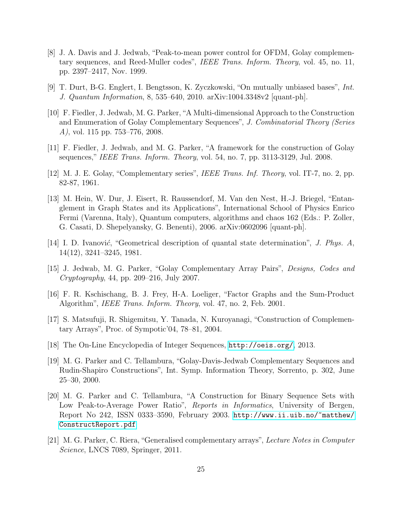- <span id="page-24-1"></span>[8] J. A. Davis and J. Jedwab, "Peak-to-mean power control for OFDM, Golay complementary sequences, and Reed-Muller codes", IEEE Trans. Inform. Theory, vol. 45, no. 11, pp. 2397–2417, Nov. 1999.
- [9] T. Durt, B-G. Englert, I. Bengtsson, K. Zyczkowski, "On mutually unbiased bases", Int. J. Quantum Information, 8, 535–640, 2010. arXiv:1004.3348v2 [quant-ph].
- <span id="page-24-5"></span>[10] F. Fiedler, J. Jedwab, M. G. Parker,"A Multi-dimensional Approach to the Construction and Enumeration of Golay Complementary Sequences", J. Combinatorial Theory (Series A), vol. 115 pp. 753–776, 2008.
- [11] F. Fiedler, J. Jedwab, and M. G. Parker, "A framework for the construction of Golay sequences," IEEE Trans. Inform. Theory, vol. 54, no. 7, pp. 3113-3129, Jul. 2008.
- <span id="page-24-0"></span>[12] M. J. E. Golay, "Complementary series", IEEE Trans. Inf. Theory, vol. IT-7, no. 2, pp. 82-87, 1961.
- <span id="page-24-11"></span>[13] M. Hein, W. Dur, J. Eisert, R. Raussendorf, M. Van den Nest, H.-J. Briegel, "Entanglement in Graph States and its Applications", International School of Physics Enrico Fermi (Varenna, Italy), Quantum computers, algorithms and chaos 162 (Eds.: P. Zoller, G. Casati, D. Shepelyansky, G. Benenti), 2006. arXiv:0602096 [quant-ph].
- <span id="page-24-8"></span>[14] I. D. Ivanović, "Geometrical description of quantal state determination", J. Phys.  $A$ , 14(12), 3241–3245, 1981.
- <span id="page-24-6"></span>[15] J. Jedwab, M. G. Parker, "Golay Complementary Array Pairs", Designs, Codes and Cryptography, 44, pp. 209–216, July 2007.
- <span id="page-24-10"></span>[16] F. R. Kschischang, B. J. Frey, H-A. Loeliger, "Factor Graphs and the Sum-Product Algorithm", IEEE Trans. Inform. Theory, vol. 47, no. 2, Feb. 2001.
- <span id="page-24-4"></span>[17] S. Matsufuji, R. Shigemitsu, Y. Tanada, N. Kuroyanagi, "Construction of Complementary Arrays", Proc. of Sympotic'04, 78–81, 2004.
- <span id="page-24-9"></span>[18] The On-Line Encyclopedia of Integer Sequences, <http://oeis.org/>, 2013.
- <span id="page-24-2"></span>[19] M. G. Parker and C. Tellambura, "Golay-Davis-Jedwab Complementary Sequences and Rudin-Shapiro Constructions", Int. Symp. Information Theory, Sorrento, p. 302, June 25–30, 2000.
- <span id="page-24-3"></span>[20] M. G. Parker and C. Tellambura, "A Construction for Binary Sequence Sets with Low Peak-to-Average Power Ratio", Reports in Informatics, University of Bergen, Report No 242, ISSN 0333–3590, February 2003. [http://www.ii.uib.no/~matthew/](http://www.ii.uib.no/~matthew/ConstructReport.pdf) [ConstructReport.pdf](http://www.ii.uib.no/~matthew/ConstructReport.pdf)
- <span id="page-24-7"></span>[21] M. G. Parker, C. Riera, "Generalised complementary arrays", Lecture Notes in Computer Science, LNCS 7089, Springer, 2011.